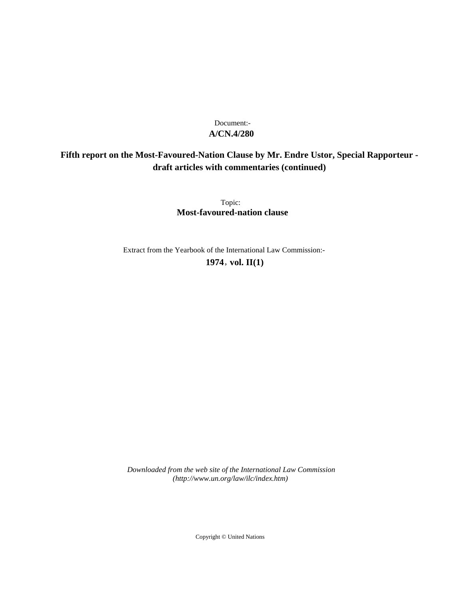# **A/CN.4/280** Document:-

# **Fifth report on the Most-Favoured-Nation Clause by Mr. Endre Ustor, Special Rapporteur draft articles with commentaries (continued)**

Topic: **Most-favoured-nation clause**

Extract from the Yearbook of the International Law Commission:- **1974** , **vol. II(1)**

*Downloaded from the web site of the International Law Commission (http://www.un.org/law/ilc/index.htm)*

Copyright © United Nations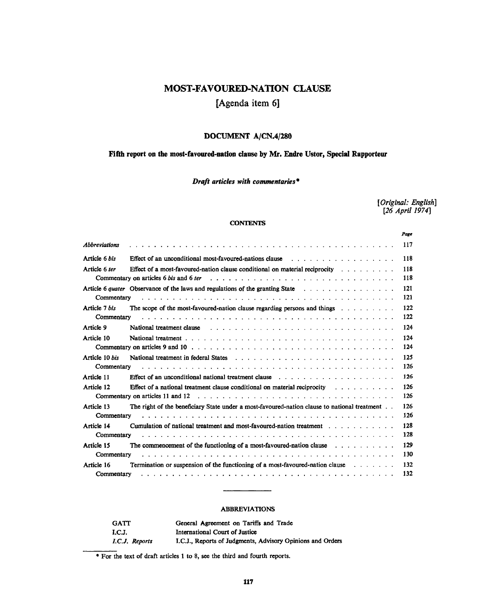# **MOST-FAVOURED-NATION CLAUSE**

# **[Agenda item 6]**

# **DOCUMENT A/CN.4/280**

## **Fifth report on the most-favoured-nation clause by Mr. Endre Ustor, Special Rapporteur**

## *Draft articles with commentaries\**

*[Original: English] [26 April 1974]*

## **CONTENTS**

|                                                                                                                              |                                                                                                                                                                                                                               | Page |
|------------------------------------------------------------------------------------------------------------------------------|-------------------------------------------------------------------------------------------------------------------------------------------------------------------------------------------------------------------------------|------|
| <b>Abbreviations</b>                                                                                                         |                                                                                                                                                                                                                               | 117  |
| Article 6 bis                                                                                                                | Effect of an unconditional most-favoured-nations clause response to the contract of an unconditional most-favoured-nations clause response to the contract of the contract of the contract of the contract of the contract of | 118  |
| Article 6 ter                                                                                                                | Effect of a most-favoured-nation clause conditional on material reciprocity $\dots$                                                                                                                                           | 118  |
|                                                                                                                              | <b>Commentary on articles 6 bis and 6 ter</b> $\cdots$ , $\cdots$ , $\cdots$ , $\cdots$ , $\cdots$ , $\cdots$ , $\cdots$ , $\cdots$ , $\cdots$ , $\cdots$ , $\cdots$ , $\cdots$                                               | 118  |
|                                                                                                                              |                                                                                                                                                                                                                               | 121  |
| Commentary                                                                                                                   |                                                                                                                                                                                                                               | 121  |
| Article 7 bis                                                                                                                | The scope of the most-favoured-nation clause regarding persons and things $\dots \dots \dots$                                                                                                                                 | 122  |
| Commentary                                                                                                                   |                                                                                                                                                                                                                               | 122  |
| Article 9                                                                                                                    | National treatment clause                                                                                                                                                                                                     | 124  |
| Article 10                                                                                                                   |                                                                                                                                                                                                                               | 124  |
|                                                                                                                              |                                                                                                                                                                                                                               | 124  |
| Article 10 bis                                                                                                               |                                                                                                                                                                                                                               | 125  |
| Commentary<br>a da a da a canada a canada a canada a canada a canada a canada a canada a canada a canada a canada a canada a |                                                                                                                                                                                                                               | 126  |
| Article 11                                                                                                                   |                                                                                                                                                                                                                               | 126  |
| Article 12                                                                                                                   | Effect of a national treatment clause conditional on material reciprocity $\cdots$ , $\cdots$ , $\cdots$                                                                                                                      | 126  |
|                                                                                                                              |                                                                                                                                                                                                                               | 126  |
| Article 13                                                                                                                   | The right of the beneficiary State under a most-favoured-nation clause to national treatment.                                                                                                                                 | 126  |
| Commentary                                                                                                                   |                                                                                                                                                                                                                               | 126  |
| Article 14                                                                                                                   | Cumulation of national treatment and most-favoured-nation treatment $\ldots$ , $\ldots$ , $\ldots$                                                                                                                            | 128  |
| Commentary                                                                                                                   |                                                                                                                                                                                                                               | 128  |
| <b>Article 15</b>                                                                                                            | The commencement of the functioning of a most-favoured-nation clause $\cdots$                                                                                                                                                 | 129  |
| Commentary                                                                                                                   |                                                                                                                                                                                                                               | 130  |
| Article 16                                                                                                                   | <b>Termination or suspension of the functioning of a most-favoured-nation clause</b> $\dots$                                                                                                                                  | 132  |
| Commentary                                                                                                                   |                                                                                                                                                                                                                               | 132  |

## ABBREVIATIONS

| <b>GATT</b>    | General Agreement on Tariffs and Trade                     |
|----------------|------------------------------------------------------------|
| I.C.J.         | International Court of Justice                             |
| I.C.J. Reports | I.C.J., Reports of Judgments, Advisory Opinions and Orders |

\* For the text of draft articles 1 to 8, see the third and fourth reports.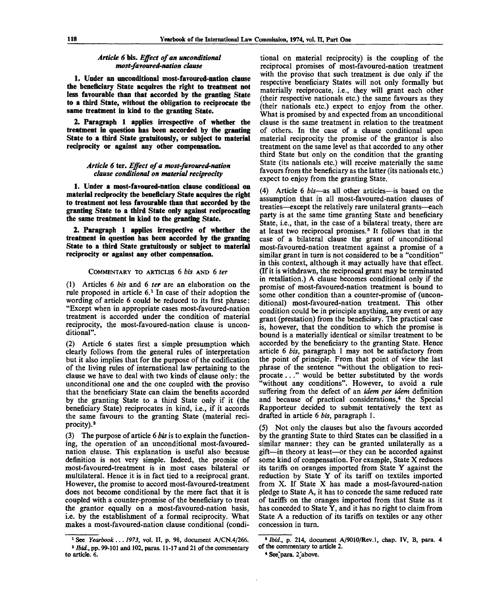## *Article 6 bis. Effect of an unconditional most-favoured-nation clause*

**1. Under an unconditional most-favoured-nation clause the beneficiary State acquires the right to treatment not less favourable than that accorded by the granting State to a third State, without the obligation to reciprocate the same treatment in kind to the granting State.**

**2. Paragraph 1 applies irrespective of whether the treatment in question has been accorded by the granting State to a third State gratuitously, or subject to material reciprocity or against any other compensation.**

## *Article 6* **ter.** *Effect of a most-favoured-nation clause conditional on material reciprocity*

**1. Under a most-favoured-nation clause conditional on material reciprocity the beneficiary State acquires the right to treatment not less favourable than that accorded by the granting State to a third State only against reciprocating the same treatment in kind to the granting State.**

**2. Paragraph 1 applies irrespective of whether the treatment in question has been accorded by the granting State to a third State gratuitously or subject to material reciprocity or against any other compensation.**

## COMMENTARY TO ARTICLES 6 *bis* AND 6 *ter*

(1) Articles 6 *bis* and 6 *ter* are an elaboration on the rule proposed in article 6.<sup>1</sup> In case of their adoption the wording of article 6 could be reduced to its first phrase: "Except when in appropriate cases most-favoured-nation treatment is accorded under the condition of material reciprocity, the most-favoured-nation clause is unconditional".

(2) Article 6 states first a simple presumption which clearly follows from the general rules of interpretation but it also implies that for the purpose of the codification of the living rules of international law pertaining to the clause we have to deal with two kinds of clause only: the unconditional one and the one coupled with the proviso that the beneficiary State can claim the benefits accorded by the granting State to a third State only if it (the beneficiary State) reciprocates in kind, i.e., if it accords the same favours to the granting State (material reciprocity).<sup>2</sup>

(3) The purpose of article 6 *bis* is to explain the functioning, the operation of an unconditional most-favourednation clause. This explanation is useful also because definition is not very simple. Indeed, the promise of most-favoured-treatment is in most cases bilateral or multilateral. Hence it is in fact tied to a reciprocal grant. However, the promise to accord most-favoured-treatment does not become conditional by the mere fact that it is coupled with a counter-promise of the beneficiary to treat the grantor equally on a most-favoured-nation basis, i.e. by the establishment of a formal reciprocity. What makes a most-favoured-nation clause conditional (condi-

tional on material reciprocity) is the coupling of the reciprocal promises of most-favoured-nation treatment with the proviso that such treatment is due only if the respective beneficiary States will not only formally but materially reciprocate, i.e., they will grant each other (their respective nationals etc.) the same favours as they (their nationals etc.) expect to enjoy from the other. What is promised by and expected from an unconditional clause is the same treatment in relation to the treatment of others. In the case of a clause conditional upon material reciprocity the promise of the grantor is also treatment on the same level as that accorded to any other third State but only on the condition that the granting State (its nationals etc.) will receive materially the same favours from the beneficiary as the latter (its nationals etc.) expect to enjoy from the granting State.

(4) Article 6 *bis*—as all other articles—is based on the assumption that in all most-favoured-nation clauses of treaties—except the relatively rare unilateral grants—each party is at the same time granting State and beneficiary State, i.e., that, in the case of a bilateral treaty, there are at least two reciprocal promises.<sup>3</sup> It follows that in the case of a bilateral clause the grant of unconditional most-favoured-nation treatment against a promise of a similar grant in turn is not considered to be a "condition" in this context, although it may actually have that effect. (If it is withdrawn, the reciprocal grant may be terminated in retaliation.) A clause becomes conditional only if the promise of most-favoured-nation treatment is bound to some other condition than a counter-promise of (unconditional) most-favoured-nation treatment. This other condition could be in principle anything, any event or any grant (prestation) from the beneficiary. The practical case is, however, that the condition to which the promise is bound is a materially identical or similar treatment to be accorded by the beneficiary to the granting State. Hence article 6 *bis,* paragraph 1 may not be satisfactory from the point of principle. From that point of view the last phrase of the sentence "without the obligation to reciprocate ... " would be better substituted by the words "without any conditions". However, to avoid a rule suffering from the defect of an *idem per idem* definition and because of practical considerations,<sup>4</sup> the Special Rapporteur decided to submit tentatively the text as drafted in article 6 *bis,* paragraph 1.

(5) Not only the clauses but also the favours accorded by the granting State to third States can be classified in a similar manner: they can be granted unilaterally as a gift—in theory at least—or they can be accorded against some kind of compensation. For example, State X reduces its tariffs on oranges imported from State Y against the reduction by State Y of its tariff on textiles imported from X. If State X has made a most-favoured-nation pledge to State A, it has to concede the same reduced rate of tariffs on the oranges imported from that State as it has conceded to State Y, and it has no right to claim from State A a reduction of its tariffs on textiles or any other concession in turn.

<sup>1</sup> See *Yearbook* .. . *1973,* vol. II, p. 98, document A/CN.4/266. <sup>2</sup> *Ibid.*, pp. 99-101 and 102, paras. 11-17 and 21 of the commentary to article. 6.

*<sup>9</sup> Ibid.,* p. 214, document A/9010/Rev.l, chap. IV, B, para. 4 of the commentary to article 2.

<sup>\*</sup> See'para. 2Jabove.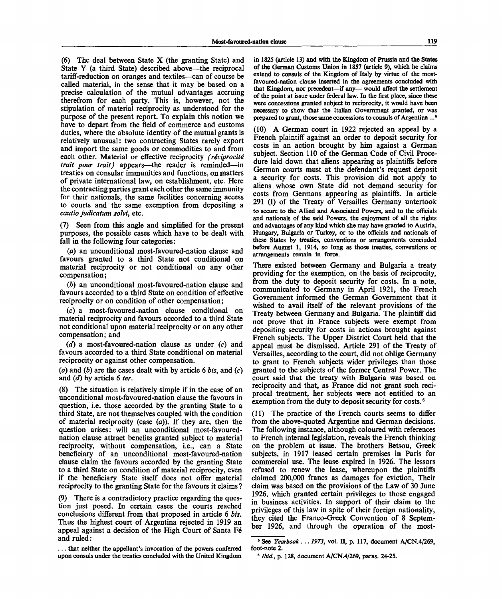(6) The deal between State X (the granting State) and State Y (a third State) described above—the reciprocal tariff-reduction on oranges and textiles—can of course be called material, in the sense that it may be based on a precise calculation of the mutual advantages accruing therefrom for each party. This is, however, not the stipulation of material reciprocity as understood for the purpose of the present report. To explain this notion we have to depart from the field of commerce and customs duties, where the absolute identity of the mutual grants is relatively unusual: two contracting States rarely export and import the same goods or commodities to and from each other. Material or effective reciprocity *(réciprocité trait pour trait)* appears—the reader is reminded—in treaties on consular immunities and functions, on matters of private international law, on establishment, etc. Here the contracting parties grant each other the same immunity for their nationals, the same facilities concerning access to courts and the same exemption from depositing a *cautio judicatum solvi,* etc.

Seen from this angle and simplified for the present purposes, the possible cases which have to be dealt with fall in the following four categories:

*(a)* an unconditional most-favoured-nation clause and favours granted to a third State not conditional on material reciprocity or not conditional on any other compensation;

*(b)* an unconditional most-favoured-nation clause and favours accorded to a third State on condition of effective reciprocity or on condition of other compensation;

(c) a most-favoured-nation clause conditional on material reciprocity and favours accorded to a third State not conditional upon material reciprocity or on any other compensation; and

*(d)* a most-favoured-nation clause as under *(c)* and favours accorded to a third State conditional on material reciprocity or against other compensation.

*(a)* and *(b)* are the cases dealt with by article 6 *bis,* and (c) and *(d)* by article 6 *ter.*

(8) The situation is relatively simple if in the case of an unconditional most-favoured-nation clause the favours in question, i.e. those accorded by the granting State to a third State, are not themselves coupled with the condition of material reciprocity (case *(a)).* If they are, then the question arises: will an unconditional most-favourednation clause attract benefits granted subject to material reciprocity, without compensation, i.e., can a State beneficiary of an unconditional most-favoured-nation clause claim the favours accorded by the granting State to a third State on condition of material reciprocity, even if the beneficiary State itself does not offer material reciprocity to the granting State for the favours it claims ?

(9) There is a contradictory practice regarding the question just posed. In certain cases the courts reached conclusions different from that proposed in article 6 *bis.* Thus the highest court of Argentina rejected in 1919 an appeal against a decision of the High Court of Santa Fé and ruled:

. . . that neither the appellant's invocation of the powers conferred upon consuls under the treaties concluded with the United Kingdom

in 1825 (article 13) and with the Kingdom of Prussia and the States of the German Customs Union in 1857 (article 9), which he claims extend to consuls of the Kingdom of Italy by virtue of the mostfavoured-nation clause inserted in the agreements concluded with that Kingdom, nor precedent—if any— would affect the settlement of the point at issue under federal law. In the first place, since these were concessions granted subject to reciprocity, it would have been necessary to show that the Italian Government granted, or was prepared to grant, those same concessions to consuls of Argentina ...<sup>8</sup>

(10) A German court in 1922 rejected an appeal by a French plaintiff against an order to deposit security for costs in an action brought by him against a German subject. Section 110 of the German Code of Civil Procedure laid down that aliens appearing as plaintiffs before German courts must at the defendant's request deposit a security for costs. This provision did not apply to aliens whose own State did not demand security for costs from Germans appearing as plaintiffs. In article 291 (I) of the Treaty of Versailles Germany untertook to secure to the Allied and Associated Powers, and to the officials and nationals of the said Powers, the enjoyment of all the rights and advantages of any kind which she may have granted to Austria, Hungary, Bulgaria or Turkey, or to the officials and nationals of these States by treaties, conventions or arrangements concluded before August 1, 1914, so long as those treaties, conventions or arrangements remain in force.

There existed between Germany and Bulgaria a treaty providing for the exemption, on the basis of reciprocity, from the duty to deposit security for costs. In a note, communicated to Germany in April 1921, the French Government informed the German Government that it wished to avail itself of the relevant provisions of the Treaty between Germany and Bulgaria. The plaintiff did not prove that in France subjects were exempt from depositing security for costs in actions brought against French subjects. The Upper District Court held that the appeal must be dismissed. Article 291 of the Treaty of Versailles, according to the court, did not oblige Germany to grant to French subjects wider privileges than those granted to the subjects of the former Central Power. The court said that the treaty with Bulgaria was based on reciprocity and that, as France did not grant such reciprocal treatment, her subjects were not entitled to an exemption from the duty to deposit security for costs.<sup>6</sup>

(11) The practice of the French courts seems to differ from the above-quoted Argentine and German decisions. The following instance, although coloured with references to French internal legislation, reveals the French thinking on the problem at issue. The brothers Betsou, Greek subjects, in 1917 leased certain premises in Paris for commercial use. The lease expired in 1926. The lessors refused to renew the lease, whereupon the plaintiffs claimed 200,000 francs as damages for eviction, Their claim was based on the provisions of the Law of 30 June 1926, which granted certain privileges to those engaged in business activities. In support of their claim to the privileges of this law in spite of their foreign nationality, they cited the Franco-Greek Convention of 8 September 1926, and through the operation of the most-

<sup>8</sup> See *Yearbook* .. . *1973,* vol. II, p. 117, document A/CN.4/269, foot-note 2.

<sup>•</sup> *Ibid.,* p. 128, document A/CN.4/269, paras. 24-25.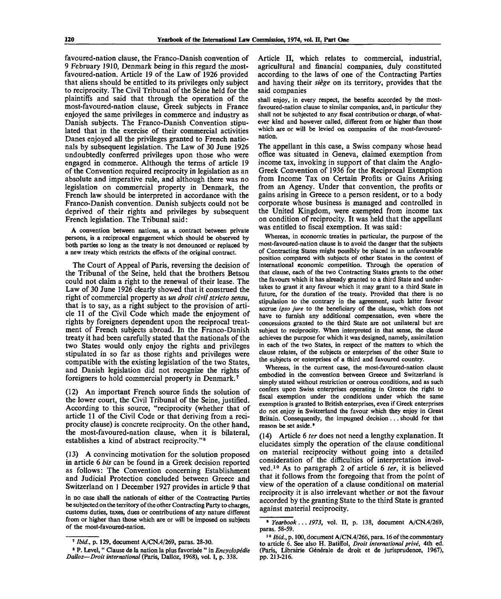favoured-nation clause, the Franco-Danish convention of 9 February 1910, Denmark being in this regard the mostfavoured-nation. Article 19 of the Law of 1926 provided that aliens should be entitled to its privileges only subject to reciprocity. The Civil Tribunal of the Seine held for the plaintiffs and said that through the operation of the most-favoured-nation clause, Greek subjects in France enjoyed the same privileges in commerce and industry as Danish subjects. The Franco-Danish Convention stipulated that in the exercise of their commercial activities Danes enjoyed all the privileges granted to French nationals by subsequent legislation. The Law of 30 June 1926 undoubtedly conferred privileges upon those who were engaged in commerce. Although the terms of article 19 of the Convention required reciprocity in legislation as an absolute and imperative rule, and although there was no legislation on commercial property in Denmark, the French law should be interpreted in accordance with the Franco-Danish convention. Danish subjects could not be deprived of their rights and privileges by subsequent French legislation. The Tribunal said:

A convention between nations, as a contract between private persons, is a reciprocal engagement which should be observed by both parties so long as the treaty is not denounced or replaced by a new treaty which restricts the effects of the original contract.

The Court of Appeal of Paris, reversing the decision of the Tribunal of the Seine, held that the brothers Betsou could not claim a right to the renewal of their lease. The Law of 30 June 1926 clearly showed that it construed the right of commercial property as *un droit civil stricto sensu,* that is to say, as a right subject to the provision of article 11 of the Civil Code which made the enjoyment of rights by foreigners dependent upon the reciprocal treatment of French subjects abroad. In the Franco-Danish treaty it had been carefully stated that the nationals of the two States would only enjoy the rights and privileges stipulated in so far as those rights and privileges were compatible with the existing legislation of the two States, and Danish legislation did not recognize the rights of foreigners to hold commercial property in Denmark.<sup>7</sup>

(12) An important French source finds the solution of the lower court, the Civil Tribunal of the Seine, justified. According to this source, "reciprocity (whether that of article 11 of the Civil Code or that deriving from a reciprocity clause) is concrete reciprocity. On the other hand, the most-favoured-nation clause, when it is bilateral, establishes a kind of abstract reciprocity."<sup>8</sup>

(13) A convincing motivation for the solution proposed in article 6 *bis* can be found in a Greek decision reported as follows: The Convention concerning Establishment and Judicial Protection concluded between Greece and Switzerland on 1 December 1927 provides in article 9 that

in no case shall the nationals of either of the Contracting Parties be subjected on the territory of the other Contracting Party to charges, customs duties, taxes, dues or contributions of any nature different from or higher than those which are or will be imposed on subjects of the most-favoured-nation.

Article II, which relates to commercial, industrial, agricultural and financial companies, duly constituted according to the laws of one of the Contracting Parties and having their *siege* on its territory, provides that the said companies

shall enjoy, in every respect, the benefits accorded by the mostfavoured-nation clause to similar companies, and, in particular they shall not be subjected to any fiscal contribution or charge, of whatever kind and however called, different from or higher than those which are or will be levied on companies of the most-favourednation.

The appellant in this case, a Swiss company whose head office was situated in Geneva, claimed exemption from income tax, invoking in support of that claim the Anglo-Greek Convention of 1936 for the Reciprocal Exemption from Income Tax on Certain Profits or Gains Arising from an Agency. Under that convention, the profits or gains arising in Greece to a person resident, or to a body corporate whose business is managed and controlled in the United Kingdom, were exempted from income tax on condition of reciprocity. It was held that the appellant was entitled to fiscal exemption. It was said:

Whereas, in economic treaties in particular, the purpose of the most-favoured-nation clause is to avoid the danger that the subjects of Contracting States might possibly be placed in an unfavourable position compared with subjects of other States in the context of international economic competition. Through the operation of that clause, each of the two Contracting States grants to the other the favours which it has already granted to a third State and undertakes to grant it any favour which it may grant to a third State in future, for the duration of the treaty. Provided that there is no stipulation to the contrary in the agreement, such latter favour accrue *ipso jure* to the beneficiary of the clause, which does not have to furnish any additional compensation, even where the concessions granted to the third State are not unilateral but are subject to reciprocity. When interpreted in that sense, the clause achieves the purpose for which it was designed, namely, assimilation in each of the two States, in respect of the matters to which the clause relates, of the subjects or enterprises of the other State to the subjects or enterprises of a third and favoured country.

Whereas, in the current case, the most-favoured-nation clause embodied in the convention between Greece and Switzerland is simply stated without restriction or onerous conditions, and as such confers upon Swiss enterprises operating in Greece the right to fiscal exemption under the conditions under which the same exemption is granted to British enterprises, even if Greek enterprises do not enjoy in Switzerland the favour which they enjoy in Great Britain. Consequently, the impugned decision... should for that reason be set aside. •

(14) Article 6 *ter* does not need a lengthy explanation. It elucidates simply the operation of the clause conditional on material reciprocity without going into a detailed consideration of the difficulties of interpretation involved.<sup>10</sup> As to paragraph 2 of article 6 *ter,* it is believed that it follows from the foregoing that from the point of view of the operation of a clause conditional on material reciprocity it is also irrelevant whether or not the favour accorded by the granting State to the third State is granted against material reciprocity.

<sup>7</sup>  *Ibid.,* p. 129, document A/CN.4/269, paras. 28-30.

<sup>&</sup>lt;sup>8</sup> P. Level, " Clause de la nation la plus favorisée " in *Encyclopédie Dalloz—Droit international* (Paris, Dalloz, 1968), vol. I, p. 338.

<sup>9</sup>  *Yearbook*.*.*. *1973,* vol. II, p. 138, document A/CN.4/269, paras. 58-59.

<sup>10</sup>  *Ibid.,* p. 100, document A/CN.4/266, para. 16 of the commentary to article 6. See also H. Batiffol, *Droit international prive,* 4th ed. (Paris, Librairie Générale de droit et de jurisprudence, 1967), pp. 213-216.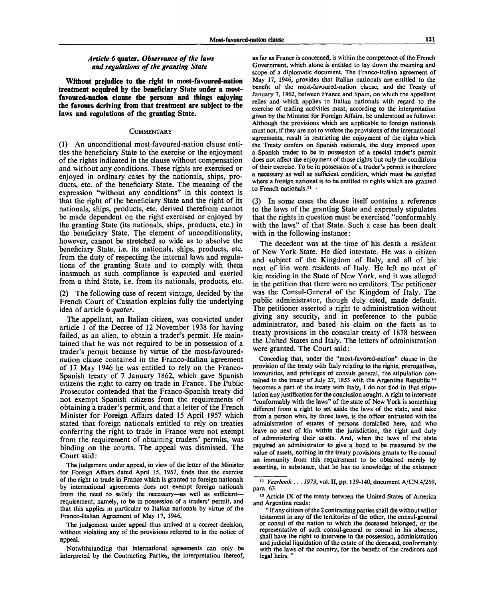## Article 6 quater. Observance of the laws *and regulations of the granting State*

**Without prejudice to the right to most-favoured-nation treatment acquired by the beneficiary State under a mostfavoured-nation clause the persons and things enjoying the favours deriving from that treatment are subject to the laws and regulations of the granting State.**

#### **COMMENTARY**

(1) An unconditional most-favoured-nation clause entitles the beneficiary State to the exercise or the enjoyment of the rights indicated in the clause without compensation and without any conditions. These rights are exercised or enjoyed in ordinary cases by the nationals, ships, products, etc. of the beneficiary State. The meaning of the expression "without any conditions" in this context is that the right of the beneficiary State and the right of its nationals, ships, products, etc. derived therefrom cannot be made dependent on the right exercised or enjoyed by the granting State (its nationals, ships, products, etc.) in the beneficiary State. The element of unconditionality, however, cannot be stretched so wide as to absolve the beneficiary State, i.e. its nationals, ships, products, etc. from the duty of respecting the internal laws and regulations of the granting State and to comply with them inasmuch as such compliance is expected and exerted from a third State, i.e. from its nationals, products, etc.

(2) The following case of recent vintage, decided by the French Court of Cassation explains fully the underlying idea of article 6 *quater.*

The appellant, an Italian citizen, was convicted under article 1 of the Decree of 12 November 1938 for having failed, as an alien, to obtain a trader's permit. He maintained that he was not required to be in possession of a trader's permit because by virtue of the most-favourednation clause contained in the Franco-Italian agreement of 17 May 1946 he was entitled to rely on the Franco-Spanish treaty of 7 January 1862, which gave Spanish citizens the right to carry on trade in France. The Public Prosecutor contended that the Franco-Spanish treaty did not exempt Spanish citizens from the requirements of obtaining a trader's permit, and that a letter of the French Minister for Foreign Affairs dated 15 April 1957 which stated that foreign nationals entitled to rely on treaties conferring the right to trade in France were not exempt from the requirement of obtaining traders' permits, was binding on the courts. The appeal was dismissed. The Court said :

The judgement under appeal, in view of the letter of the Minister for Foreign Affairs dated April 15, 1957, finds that the exercise of the right to trade in France which is granted to foreign nationals by international agreements does not exempt foreign nationals from the need to satisfy the necessary—as well as sufficient requirement, namely, to be in possession of a traders' permit, and that this applies in particular to Italian nationals by virtue of the Franco-Italian Agreement of May 17, 1946.

The judgement under appeal thus arrived at a correct decision, without violating any of the provisions referred to in the notice of **appeal.**

Notwithstanding that international agreements can only **be interpreted** by **the** Contracting Parties, **the** interpretation **thereof,** as far as France is concerned, is within the competence of the French Government, which alone is entitled to lay down the meaning and scope of a diplomatic document. The Franco-Italian agreement of May 17, 1946, provides that Italian nationals are entitled to the benefit of the most-favoured-nation clause, and the Treaty of January 7, 1862, between France and Spain, on which the appellant relies and which applies to Italian nationals with regard to the exercise of trading activities must, according to the interpretation given by the Minister for Foreign Affairs, be understood as follows: Although the provisions which are applicable to foreign nationals must not, if they are not to violate the provisions of the international agreements, result in restricting the enjoyment of the rights which the Treaty confers on Spanish nationals, the duty imposed upon a Spanish trader to be in possession of a special trader's permit does not affect the enjoyment of those rights but only the conditions of their exercise. To be in possession of a trader's permit is therefore a necessary as well as sufficient condition, which must be satisfied where **a** foreign national is to be entitled to rights which are granted to French nationals.<sup>11</sup>

(3) In some cases the clause itself contains a reference to the laws of the granting State and expressly stipulates that the rights in question must be exercised "conformably with the laws" of that State. Such a case has been dealt with in the following instance:

The decedent was at the time of his death a resident of New York State. He died intestate. He was a citizen and subject of the Kingdom of Italy, and all of his next of kin were residents of Italy. He left no next of kin residing in the State of New York, and it was alleged in the petition that there were no creditors. The petitioner was the Consul-General of the Kingdom of Italy. The public administrator, though duly cited, made default. The petitioner asserted a right to administration without giving any security, and in preference to the public administrator, and based his claim on the facts as to treaty provisions in the consular treaty of 1878 between the United States and Italy. The letters of administration were granted. The Court said:

Conceding that, under the "most-favored-nation" clause in the provision of the treaty with Italy relating to the rights, prerogatives, immunities, and privileges of consuls general, the stipulation contained in the treaty of July 27, 1853 with the Argentine Republic<sup>1</sup> becomes a part of the treaty with Italy, I do not find in that stipulation any justification for the conclusion sought. A right to intervene "conformably with the laws" of the state of New York is something different from a right to set aside the laws of the state, and take from a person who, by those laws, is the officer entrusted with the administration of estates of persons domiciled here, and who leave no next of kin within the jurisdiction, the right and duty of administering their assets. And, when the laws of the state required an administrator to give a bond to be measured by the value of assets, nothing in the treaty provisions grants to the consul an immunity from this requirement to be obtained merely by asserting, in substance, that he has no knowledge of the existence

<sup>11</sup>  *Yearbook ... 1973,* vol. II, pp. 139-140, document A/CN.4/269, para. 63.

<sup>&</sup>lt;sup>12</sup> Article IX of the treaty between the United States of America and Argentina reads:

<sup>&</sup>quot; If any citizen of the 2 contracting parties shall die without will **or** testament in any of the territories of the other, the consul-general or consul of the nation to which the deceased belonged, or the representative of such consul-general or consul in his absence, shall have the right to intervene in the possession, administration and judicial liquidation of the estate of the deceased, conformably with the laws of the country, for the benefit **of** the creditors **and** legal heirs.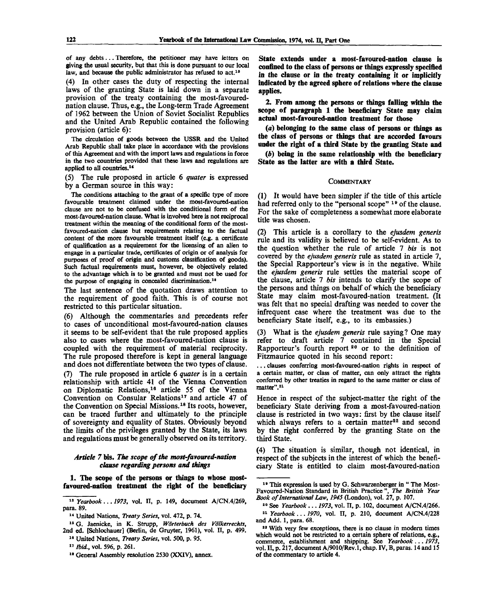of any debts... Therefore, the petitioner may have letters on giving the usual security, but that this is done pursuant to our local law, and because the public administrator has refused to act.<sup>13</sup>

(4) In other cases the duty of respecting the internal laws of the granting State is laid down in a separate provision of the treaty containing the most-favourednation clause. Thus, e.g., the Long-term Trade Agreement of 1962 between the Union of Soviet Socialist Republics and the United Arab Republic contained the following provision (article 6):

The circulation of goods between the USSR and the United Arab Republic shall take place in accordance with the provisions of this Agreement and with the import laws and regulations in force in the two countries provided that these laws and regulations are applied to all countries.<sup>14</sup>

(5) The rule proposed in article 6 *quater* is expressed by a German source in this way:

The conditions attaching to the grant of a specific type of more favourable treatment claimed under the most-favoured-nation clause are not to be confused with the conditional form of the most-favoured-nation clause. What is involved here is not reciprocal treatment within the meaning of the conditional form of the mostfavoured-nation clause but requirements relating to the factual content of the more favourable treatment itself (e.g. a certificate of qualification as a requirement for the licensing of an alien to engage in a particular trade, certificates of origin or of analysis for purposes of proof of origin and customs classification of goods). Such factual requirements must, however, be objectively related to the advantage which is to be granted and must not be used for the purpose of engaging in concealed discrimination.<sup>15</sup>

The last sentence of the quotation draws attention to the requirement of good faith. This is of course not restricted to this particular situation.

(6) Although the commentaries and precedents refer to cases of unconditional most-favoured-nation clauses it seems to be self-evident that the rule proposed applies also to cases where the most-favoured-nation clause is coupled with the requirement of material reciprocity. The rule proposed therefore is kept in general language and does not differentiate between the two types of clause.

(7) The rule proposed in article 6 *quater* is in a certain relationship with article 41 of the Vienna Convention on Diplomatic Relations,<sup>16</sup> article 55 of the Vienna Convention on Consular Relations<sup>17</sup> and article 47 of the Convention on Special Missions.<sup>18</sup> Its roots, however, can be traced further and ultimately to the principle of sovereignty and equality of States. Obviously beyond the limits of the privileges granted by the State, its laws and regulations must be generally observed on its territory.

## *Article 7* **bis.** *The scope of the most-favoured-nation clause regarding persons and things*

**1. The scope of the persons or things to whose mostfavoured-nation treatment the right of the beneficiary**

13  *Yearbook*... *1973,* vol. II, p. 149, document A/CN.4/269, para. 89.

**State extends under a most-favoured-nation clause is confined to the class of persons or things expressly specified in the clause or in the treaty containing it or implicitly indicated by the agreed sphere of relations where the clause applies.**

**2. From among the persons or things falling within the scope of paragraph 1 the beneficiary State may claim actual most-favoured-nation treatment for those**

**(a) belonging to the same class of persons or things as the class of persons or things that are accorded favours under the right of a third State by the granting State and**

*(b)* **being in the same relationship with the beneficiary State as the latter are with a third State.**

#### **COMMENTARY**

(1) It would have been simpler if the title of this article had referred only to the "personal scope" <sup>19</sup> of the clause. For the sake of completeness a somewhat more elaborate title was chosen.

(2) This article is a corollary to the *ejusdem generis* rule and its validity is believed to be self-evident. As to the question whether the rule of article 7 *bis* is not covered by the *ejusdem generis* rule as stated in article 7, the Special Rapporteur's view is in the negative. While the *ejusdem generis* rule settles the material scope of the clause, article 7 *bis* intends to clarify the scope of the persons and things on behalf of which the beneficiary State may claim most-favoured-nation treatment. (It was felt that no special drafting was needed to cover the infrequent case where the treatment was due to the beneficiary State itself, e.g., to its embassies.)

(3) What is the *ejusdem generis* rule saying? One may refer to draft article 7 contained in the Special Rapporteur's fourth report  $20$  or to the definition of Fitzmaurice quoted in his second report:

. . . clauses conferring most-favoured-nation rights in respect of a certain matter, or class of matter, can only attract the rights conferred by other treaties in regard to the same matter or class of matter".<sup>21</sup>

Hence in respect of the subject-matter the right of the beneficiary State deriving from a most-favoured-nation clause is restricted in two ways: first by the clause itself which always refers to a certain matter<sup>22</sup> and second by the right conferred by the granting State on the third State.

(4) The situation is similar, though not identical, in respect of the subjects in the interest of which the beneficiary State is entitled to claim most-favoured-nation

<sup>14</sup> United Nations, *Treaty Series,* vol. 472, p. 74.

<sup>14</sup> G. Jaenicke, in K. Strupp, *Worterbuch des Volkerrechts,* 2nd ed. [Schlochauer] (Berlin, de Gruyter, 1961), vol. II, p. 499.

<sup>18</sup> United Nations, *Treaty Series,* vol. 500, p. 95.

<sup>17</sup>  *Ibid.,* vol. 596, p. 261.

<sup>18</sup> General Assembly resolution 2530 (XXIV), annex.

<sup>&</sup>lt;sup>19</sup> This expression is used by G. Schwarzenberger in "The Most-Favoured-Nation Standard in British Practice ", *The British Year Book of International Law, 1945* (London), vol. 27, p. 107.

<sup>20</sup> See *Yearbook ..*. *1973,* vol. II, p. 102, document A/CN.4/266. 21  *Yearbook.*.. 7970, vol. II, p. 210, document A/CN.4/228 and Add. 1, para. 68.

<sup>22</sup> With very few exceptions, there is no clause in modern times which would not be restricted to a certain sphere of relations, e.g., commerce, establishment and shipping. See *Yearbook* .. . *1973,* vol. II, p. 217, document A/9010/Rev.l, chap. IV, B, paras. 14 and 15 of the commentary to article 4.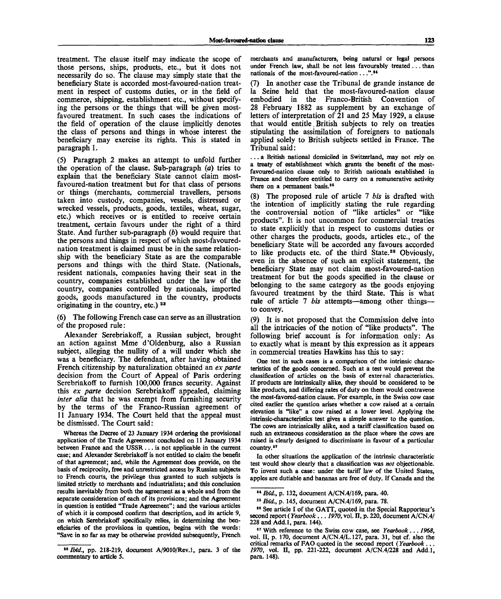treatment. The clause itself may indicate the scope of those persons, ships, products, etc., but it does not necessarily do so. The clause may simply state that the beneficiary State is accorded most-favoured-nation treatment in respect of customs duties, or in the field of commerce, shipping, establishment etc., without specifying the persons or the things that will be given mostfavoured treatment. In such cases the indications of the field of operation of the clause implicitly denotes the class of persons and things in whose interest the beneficiary may exercise its rights. This is stated in paragraph 1.

(5) Paragraph 2 makes an attempt to unfold further the operation of the clause. Sub-paragraph *(a)* tries to explain that the beneficiary State cannot claim mostfavoured-nation treatment but for that class of persons or things (merchants, commercial travellers, persons taken into custody, companies, vessels, distressed or wrecked vessels, products, goods, textiles, wheat, sugar, etc.) which receives or is entitled to receive certain treatment, certain favours under the right of a third State. And further sub-paragraph *(b)* would require that the persons and things in respect of which most-favourednation treatment is claimed must be in the same relationship with the beneficiary State as are the comparable persons and things with the third State. (Nationals, resident nationals, companies having their seat in the country, companies established under the law of the country, companies controlled by nationals, imported goods, goods manufactured in the country, products originating in the country, etc.)  $23$ 

(6) The following French case can serve as an illustration of the proposed rule:

Alexander Serebriakoff, a Russian subject, brought an action against Mme d'Oldenburg, also a Russian subject, alleging the nullity of a will under which she was a beneficiary. The defendant, after having obtained French citizenship by naturalization obtained an *ex parte* decision from the Court of Appeal of Paris ordering Serebriakoff to furnish 100,000 francs security. Against this *ex parte* decision Serebriakoff appealed, claiming *inter alia* that he was exempt from furnishing security by the terms of the Franco-Russian agreement of 11 January 1934. The Court held that the appeal must be dismissed. The Court said:

Whereas the Decree of 23 January 1934 ordering the provisional application of the Trade Agreement concluded on 11 January 1934 between France and the USSR .. . is not applicable in the current case; and Alexander Serebriakoff is not entitled to claim the benefit of that agreement; and, while the Agreement does provide, on the basis of reciprocity, free and unrestricted access by Russian subjects to French courts, the privilege thus granted to such subjects is limited strictly to merchants and industrialists; and this conclusion results inevitably from both the agreement as a whole and from the separate consideration of each of its provisions; and the Agreement in question is entitled "Trade Agreement"; and the various articles of which it is composed confirm that description, and its article 9, on which Serebriakoff specifically relies, in determining the beneficiaries of the provisions in question, begins with the words: "Save in so far as may be otherwise provided subsequently, French

merchants and manufacturers, being natural or legal persons under French law, shall be not less favourably treated .. . than nationals of the most-favoured-nation ...".<sup>24</sup>

(7) In another case the Tribunal de grande instance de la Seine held that the most-favoured-nation clause embodied in the Franco-British Convention of 28 February 1882 as supplement by an exchange of letters of interpretation of 21 and 25 May 1929, a clause that would entitle British subjects to rely on treaties stipulating the assimilation of foreigners to nationals applied solely to British subjects settled in France. The Tribunal said:

. . . a British national domiciled in Switzerland, may not rely on a treaty of establishment which grants the benefit of the mostfavoured-nation clause only to British nationals established in France and therefore entitled to carry on a remunerative activity there on a permanent basis.<sup>25</sup>

(8) The proposed rule of article 7 *bis* is drafted with the intention of implicitly stating the rule regarding the controversial notion of "like articles" or "like products". It is not uncommon for commercial treaties to state explicitly that in respect to customs duties or other charges the products, goods, articles etc., of the beneficiary State will be accorded any favours accorded to like products etc. of the third State.<sup>26</sup> Obviously, even in the absence of such an explicit statement, the beneficiary State may not claim most-favoured-nation treatment for but the goods specified in the clause or belonging to the same category as the goods enjoying favoured treatment by the third State. This is what rule of article 7 *bis* attempts—among other things to convey.

(9) It is not proposed that the Commission delve into all the intricacies of the notion of "like products". The following brief account is for information only: As to exactly what is meant by this expression as it appears in commercial treaties Hawkins has this to say:

One test in such cases is a comparison of the intrinsic characteristics of the goods concerned. Such at a test would prevent the classification of articles on the basis of external characteristics. If products are intrinsically alike, they should be considered to be like products, and differing rates of duty on them would contravene the most-favored-nation clause. For example, in the Swiss cow case cited earlier the question arises whether a cow raised at a certain elevation is "like" a cow raised at a lower level. Applying the intrinsic-characteristics test gives a simple answer to the question. The cows are intrinsically alike, and a tariff classification based on such an extraneous consideration as the place where the cows are raised is clearly designed to discriminate in favour of a particular country.<sup>27</sup>

In other situations the application of the intrinsic characteristic test would show clearly that a classification was *not* objectionable. To invent such a case: under the tariff law of the United States, apples are dutiable and bananas are free of duty. If Canada and the

<sup>&</sup>lt;sup>23</sup> *Ibid.*, pp. 218-219, document A/9010/Rev.1, para. 3 of the commentary to article 5.

<sup>24</sup>  *Ibid.,* p. 132, document A/CN.4/169, para. 40.

<sup>28</sup>  *Ibid.,* p. 145, document A/CN.4/169, para. 78.

<sup>26</sup> See article I of the GATT, quoted in the Special Rapporteur's second report ( *Yearbook* .. . *1970,* vol. II, p. 220, document A/CN.4/ 228 and Add.l, para. 144).

<sup>27</sup> With reference to the Swiss cow case, see *Yearbook..*. *1968,* vol. II, p. 170, document A/CN.4/L.127, para. 31, but cf. also the critical remarks of FAO quoted in the second report ( *Yearbook* .. . *1970,* vol. II, pp. 221-222, document A/CN.4/228 and Add.l, para. 148).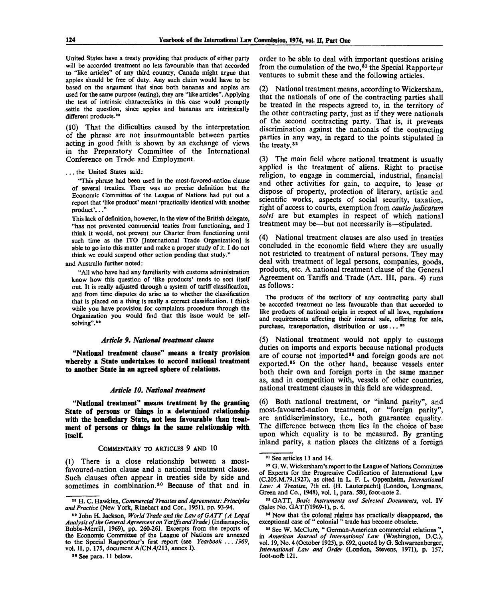United States have a treaty providing that products of either party will be accorded treatment no less favourable than that accorded to "like articles" of any third country, Canada might argue that apples should be free of duty. Any such claim would have to be based on the argument that since both bananas and apples are used for the same purpose (eating), they are "like articles". Applying the test of intrinsic characteristics in this case would promptly settle the question, since apples and bananas are intrinsically different products.<sup>26</sup>

(10) That the difficulties caused by the interpretation of the phrase are not insurmountable between parties acting in good faith is shown by an exchange of views in the Preparatory Committee of the International Conference on Trade and Employment.

"This phrase had been used in the most-favored-nation clause of several treaties. There was no precise definition but the Economic Committee of the League of Nations had put out a report that 'like product' meant 'practically identical with another product'..."

This lack of definition, however, in the view of the British delegate, "has not prevented commercial teaties from functioning, and I think it would, not prevent our Charter from functioning until such time as the ITO [International Trade Organization] is able to go into this matter and make a proper study of it. I do not think we could suspend other action pending that study."

and Australia further noted:

"All who have had any familiarity with customs administration know how this question of 'like products' tends to sort itself out. It is really adjusted through a system of tariff classification, and from time disputes do arise as to whether the classification that is placed on a thing is really a correct classification. I think while you have provision for complaints procedure through the Organization you would find that this issue would be selfsolving".<sup>29</sup>

#### *Article 9. National treatment clause*

**"National treatment clause" means a treaty provision whereby a State undertakes to accord national treatment to another State in an agreed sphere of relations.**

#### *Article 10. National treatment*

**"National treatment" means treatment by the granting State of persons or things in a determined relationship with the beneficiary State, not less favourable than treatment of persons or things in the same relationship with itself.**

### COMMENTARY **TO** ARTICLES 9 AND 10

(1) There is a close relationship between a mostfavoured-nation clause and a national treatment clause. Such clauses often appear in treaties side by side and sometimes in combination.<sup>30</sup> Because of that and in

order to be able to deal with important questions arising from the cumulation of the two,<sup>31</sup> the Special Rapporteur ventures to submit these and the following articles.

(2) National treatment means, according to Wickersham, that the nationals of one of the contracting parties shall be treated in the respects agreed to, in the territory of the other contracting party, just as if they were nationals of the second contracting party. That is, it prevents discrimination against the nationals of the contracting parties in any way, in regard to the points stipulated in the treaty.<sup>32</sup>

(3) The main field where national treatment is usually applied is the treatment of aliens. Right to practise religion, to engage in commercial, industrial, financial and other activities for gain, to acquire, to lease or dispose of property, protection of literary, artistic and scientific works, aspects of social security, taxation, right of access to courts, exemption from *cautio judicatum solvi* are but examples in respect of which national treatment may be—but not necessarily is—stipulated.

(4) National treatment clauses are also used in treaties concluded in the economic field where they are usually not restricted to treatment of natural persons. They may deal with treatment of legal persons, companies, goods, products, etc. A national treatment clause of the General Agreement on Tariffs and Trade (Art. Ill, para. 4) runs as follows:

The products of the territory of any contracting party shall be accorded treatment no less favourable than that accorded to like products of national origin in respect of all laws, regulations and requirements affecting their internal sale, offering for sale, purchase, transportation, distribution or use... $33$ 

(5) National treatment would not apply to customs duties on imports and exports because national products are of course not imported<sup>34</sup> and foreign goods are not exported.<sup>35</sup> On the other hand, because vessels enter both their own and foreign ports in the same manner as, and in competition with, vessels of other countries, national treatment clauses in this field are widespread.

(6) Both national treatment, or "inland parity", and most-favoured-nation treatment, or "foreign parity", are antidiscriminatory, i.e., both guarantee equality. The difference between them lies in the choice of base upon which equality is to be measured. By granting inland parity, a nation places the citizens of a foreign

<sup>. .</sup> . the United States said:

<sup>28</sup> H . C. Hawkins, *Commercial Treaties and Agreements: Principles and Practice* (New York, Rinehart and Cor., 1951), pp. 93-94.

<sup>29</sup> John H. Jackson, *World Trade and the Law of GATT (A Legal Analysis of the General Agreement on Tariffs and Trade)* (Indianapolis, Bobbs-Merrill, 1969), pp. 260-261. Excerpts from the reports of the Economic Committee of the League of Nations are annexed to the Special Rapporteur's first report (see *Yearbook* .. . *1969,* vol. II, p. 175, document A/CN.4/213, annex I).

<sup>&</sup>lt;sup>80</sup> See para. 11 below.

<sup>31</sup> See articles 13 and 14.

<sup>&</sup>lt;sup>32</sup> G. W. Wickersham's report to the League of Nations Committee of Experts for the Progressive Codification of International Law (C.205.M.79.1927), as cited in L. F. L. Oppenheim, *International Law: A Treatise,* 7th ed. [H. Lauterpacht] (London, Longmans, Green and Co., 1948), vol. 1, para. 580, foot-note 2.

<sup>83</sup> GATT, *Basic Instruments and Selected Documents,* vol. IV (Sales No. GATT/1969-1), p. 6.

<sup>&</sup>lt;sup>84</sup> Now that the colonal régime has practically disappeared, the exceptional case of " colonial " trade has become obsolete.

<sup>&</sup>lt;sup>35</sup> See W. McClure, " German-American commercial relations", in *American Journal of International Law* (Washington, D.C.), vol. 19, No. 4 (October 1925), p. 692, quoted by G. Schwarzenberger, *International Law and Order* (London, Stevens, 1971), p. 157, foot-noft 121.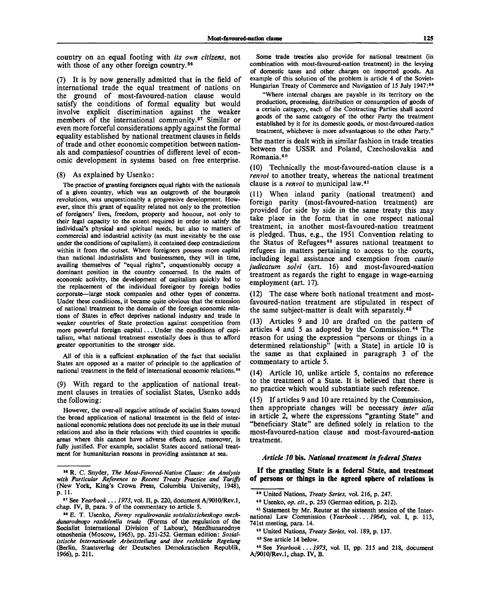country on an equal footing with *its own citizens,* not with those of any other foreign country.<sup>36</sup>

(7) It is by now generally admitted that in the field of international trade the equal treatment of nations on the ground of most-favoured-nation clause would satisfy the conditions of formal equality but would involve explicit discrimination against the weaker members of the international community.<sup>37</sup> Similar or even more forceful considerations apply against the formal equality established by national treatment clauses in fields of trade and other economic competition between nationals and companiesof countries of different level of economic development in systems based on free enterprise.

#### (8) As explained by Usenko:

The practice of granting foreigners equal rights with the nationals of a given country, which was an outgrowth of the bourgeois revolutions, was unquestionably a progressive development. However, since this grant of equality related not only to the protection of foreigners' lives, freedom, property and honour, not only to their legal capacity to the extent required in order to satisfy the individual's physical and spiritual needs, but also to matters of commercial and industrial activity (as must inevitably be the case under the conditions of capitalism), it contained deep contradictions within it from the outset. Where foreigners possess more capital than national industrialists and businessmen, they will in time, availing themselves of "equal rights", unquestionably occupy a dominant position in the country concerned. In the realm of economic activity, the development of capitalism quickly led to the replacement of the individual foreigner by foreign bodies corporate—large stock companies and other types of concerns. Under these conditions, it became quite obvious that the extension of national treatment to the domain of the foreign economic relations of States in effect deprives national industry and trade in weaker countries of State protection against competition from more powerful foreign capital... Under the conditions of capitalism, what national treatment essentially does is thus to afford greater opportunities to the stronger side.

All of this is a sufficient explanation of the fact that socialist States are opposed as a matter of principle to the application of national treatment in the field of international economic relations.<sup>38</sup>

(9) With regard to the application of national treatment clauses in treaties of socialist States, Usenko adds the following:

However, the over-all negative attitude of socialist States toward the broad application of national treatment in the field of international economic relations does not preclude its use in their mutual relations and also in their relations with third countries in specific areas where this cannot have adverse effects and, moreover, is fully justified. For example, socialist States accord national treatment for humanitarian reasons in providing assistance at sea.

Some trade treaties also provide for national treatment (in combination with most-favoured-nation treatment) in the levying of domestic taxes and other charges on imported goods. An example of this solution of the problem is article 4 of the Soviet-Hungarian Treaty of Commerce and Navigation of 15 July 1947:<sup>30</sup>

"Where internal charges are payable in its territory on the production, processing, distribution or consumption of goods of a certain category, each of the Contracting Parties shall accord goods of the same category of the other Party the treatment established by it for its domestic goods, or most-favoured-nation treatment, whichever is more advantageous to the other Party."

The matter is dealt with in similar fashion in trade treaties between the USSR and Poland, Czechoslovakia and Romania.<sup>40</sup>

(10) Technically the most-favoured-nation clause is a *renvoi* to another treaty, whereas the national treatment clause is a *renvoi* to municipal law.<sup>41</sup>

(11) When inland parity (national treatment) and foreign parity (most-favoured-nation treatment) are provided for side by side in the same treaty this may take place in the form that in one respect national treatment, in another most-favoured-nation treatment is pledged. Thus, e.g., the 1951 Convention relating to the Status of Refugees<sup>42</sup> assures national treatment to refugees in matters pertaining to access to the courts, including legal assistance and exemption from *cautio judicatum solvi* (art. 16) and most-favoured-nation treatment as regards the right to engage in wage-earning employment (art. 17).

(12) The case where both national treatment and mostfavoured-nation treatment are stipulated in respect of the same subject-matter is dealt with separately.<sup>43</sup>

(13) Articles 9 and 10 are drafted on the pattern of articles 4 and 5 as adopted by the Commission.<sup>44</sup> The reason for using the expression "persons or things in a determined relationship" [with a State] in article 10 is the same as that explained in paragraph 3 of the commentary to article 5.

(14) Article 10, unlike article 5, contains no reference to the treatment of a State. It is believed that there is no practice which would substantiate such reference.

(15) If articles 9 and 10 are retained by the Commission, then appropriate changes will be necessary *inter alia* in article 2, where the expressions "granting State" and "beneficiary State" are defined solely in relation to the most-favoured-nation clause and most-favoured-nation treatment.

## *Article 10* **bis.** *National treatment in federal States*

**If the granting State is a federal State, and treatment of persons or things in the agreed sphere of relations is**

<sup>••</sup> R. C. Snyder, *The Most-Favored-Nation Clause: An Analysis with Particular Reference to Recent Treaty Practice and Tariffs* (New York, King's Crown Press, Columbia University, 1948), p. 11.

<sup>87</sup> See *Yearbook... 1973,* vol. II, p. 220, document A/9010/Rev.l, chap. IV, B, para. 9 of the commentary to article 5.

<sup>88</sup> E. T. Usenko, *Formy regulirovaniia sotsialisticheskogo mezhdunarodnogo razdeleniia truda* (Forms of the regulation of the Socialist International Division of Labour), Mezdhunarodnye otnoshenia (Moscow, 1965), pp. 251-252. German edition: *Sozialistische Internationale Arbeitsteilung und ihre rechtliche Regelung* (Berlin, Staatsverlag der Deutschen Demokratischen Republik, 1966), p. 211.

<sup>89</sup> United Nations, *Treaty Series,* vol. 216, p. 247.

<sup>40</sup> Usenko, *op. cit.,* p. 253 (German edition, p. 212).

<sup>41</sup> Statement by Mr. Reuter at the sixteenth session of the International Law Commission *(Yearbook*... *1964),* vol. I, p. 113, 741st meeting, para. 14.

<sup>&</sup>lt;sup>42</sup> United Nations, *Treaty Series*, vol. 189, p. 137.

<sup>43</sup> See article 14 below.

<sup>&</sup>lt;sup>44</sup> See *Yearbook* . . . 1973, vol. II, pp. 215 and 218, document A/9010/Rev.l, chap. IV, B.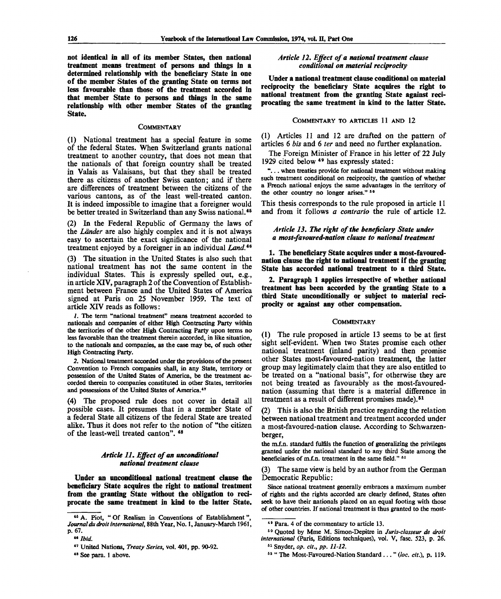**not identical in all of its member States, then national treatment means treatment of persons and things in a determined relationship with the beneficiary State in one of the member States of the granting State on terms not less favourable than those of the treatment accorded in that member State to persons and things in the same relationship with other member States of the granting State.**

#### **COMMENTARY**

(1) National treatment has a special feature in some of the federal States. When Switzerland grants national treatment to another country, that does not mean that the nationals of that foreign country shall be treated in Valais as Valaisans, but that they shall be treated there as citizens of another Swiss canton; and if there are differences of treatment between the citizens of the various cantons, as of the least well-treated canton. It is indeed impossible to imagine that a foreigner would be better treated in Switzerland than any Swiss national.<sup>45</sup>

(2) In the Federal Republic of Germany the laws of the *Lander* are also highly complex and it is not always easy to ascertain the exact significance of the national treatment enjoyed by a foreigner in an individual *Land.™*

(3) The situation in the United States is also such that national treatment has not the same content in the individual States. This is expressly spelled out, e.g., in article XIV, paragraph 2 of the Convention of Establishment between France and the United States of America signed at Paris on 25 November 1959. The text of article XIV reads as follows:

*1.* The term "national treatment" means treatment accorded to nationals and companies of either High Contracting Party within the territories of the other High Contracting Party upon terms no less favorable than the treatment therein accorded, in like situation, to the nationals and companies, as the case may be, of such other High Contracting Party.

*2.* National treatment accorded under the provisions of the present Convention to French companies shall, in any State, territory or possession of the United States of America, be the treatment accorded therein to companies constituted in other States, territories and possessions of the United States of America.<sup>47</sup>

(4) The proposed rule does not cover in detail all possible cases. It presumes that in a member State of a federal State all citizens of the federal State are treated alike. Thus it does not refer to the notion of "the citizen of the least-well treated canton".  $48$ 

## *Article 11. Effect of an unconditional national treatment clause*

**Under an unconditional national treatment clause the beneficiary State acquires the right to national treatment from the granting State without the obligation to reciprocate the same treatment in kind to the latter State.**

### *Article 12. Effect of a national treatment clause conditional on material reciprocity*

**Under a national treatment clause conditional on material reciprocity the beneficiary State acquires the right to national treatment from the granting State against reciprocating the same treatment in kind to the latter State.**

## COMMENTARY **TO** ARTICLES 11 AND 12

(1) Articles 11 and 12 are drafted on the pattern of articles 6 *bis* and 6 *ter* and need no further explanation.

The Foreign Minister of France in his letter of 22 July 1929 cited below <sup>49</sup> has expressly stated:

".. . when treaties provide for national treatment without making such treatment conditional on reciprocity, the question of whether a French national enjoys the same advantages in the territory of the other country no longer arises."  $50$ 

This thesis corresponds to the rule proposed in article 11 and from it follows *a contrario* the rule of article 12.

### *Article 13. The right of the beneficiary State under a most-favoured-nation clause to national treatment*

**1. The beneficiary State acquires under a most-favourednation clause the right to national treatment if the granting State has accorded national treatment to a third State.**

**2. Paragraph 1 applies irrespective of whether national treatment has been accorded by the granting State to a third State unconditionally or subject to material reciprocity or against any other compensation.**

#### **COMMENTARY**

(1) The rule proposed in article 13 seems to be at first sight self-evident. When two States promise each other national treatment (inland parity) and then promise other States most-favoured-nation treatment, the latter group may legitimately claim that they are also entitled to be treated on a "national basis", for otherwise they are not being treated as favourably as the most-favourednation (assuming that there is a material difference in treatment as a result of different promises made).<sup>51</sup>

(2) This is also the British practice regarding the relation between national treatment and treatment accorded under a most-favoured-nation clause. According to Schwarzenberger,

the m.f.n. standard fulfils the function of generalizing the privileges granted under the national standard to any third State among the beneficiaries of m.f.n. treatment in the same field."  $62$ 

(3) The same view is held by an author from the German Democratic Republic:

Since national treatment generally embraces a maximum number of rights and the rights accorded are clearly defined, States often seek to have their nationals placed on an equal footing with those of other countries. If national treatment is thus granted to the most-

<sup>46</sup> A. Piot, " Of Realism in Conventions of Establishment", *Journal du droit international,* 88th Year, No. 1, January-March 1961, p. 67.

<sup>&</sup>quot; *Ibid.*

<sup>&</sup>lt;sup>47</sup> United Nations, *Treaty Series*, vol. 401, pp. 90-92.

<sup>48</sup> See para. 1 above.

<sup>49</sup> Para. 4 of the commentary to article 13.

<sup>&</sup>lt;sup>50</sup> Quoted by Mme M. Simon-Depitre in Juris-classeur de droit *international* (Paris, Editions techniques), vol. V, fasc. 523, p. 26. 51 Snyder, *op. cit., pp. 11-12.*

<sup>62</sup> " The Most-Favoured-Nation Standard ... " *(be. cit.),* p. 119.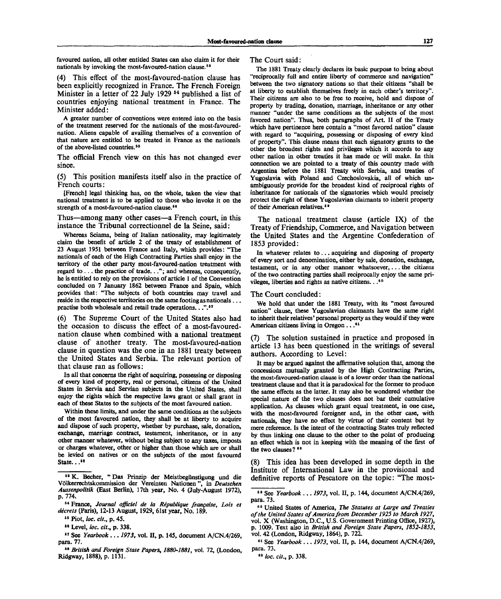favoured nation, all other entitled States can also claim it for their nationals by invoking the most-favoured-nation clause.<sup>53</sup>

(4) This effect of the most-favoured-nation clause has been explicitly recognized in France. The French Foreign Minister in a letter of 22 July 1929 <sup>54</sup> published a list of countries enjoying national treatment in France. The Minister added:

A greater number of conventions were entered into on the basis of the treatment reserved for the nationals of the most-favourednation. Aliens capable of availing themselves of a convention of that nature are entitled to be treated in France as the nationals of the above-listed countries.<sup>55</sup>

The official French view on this has not changed ever since.

(5) This position manifests itself also in the practice of French courts:

[French] legal thinking has, on the whole, taken the view that national treatment is to be applied to those who invoke it on the strength of a most-favoured-nation clause.<sup>56</sup>

Thus—among many other cases—a French court, in this instance the Tribunal correctionnel de la Seine, said:

Whereas Sciama, being of Italian nationality, may legitimately claim the benefit of article 2 of the treaty of establishment of 23 August 1951 between France and Italy, which provides: "The nationals of each of the High Contracting Parties shall enjoy in the territory of the other party most-favoured-nation treatment with regard to .. . the practice of trade..."; and whereas, consequently, he is entitled to rely on the provisions of article 1 of the Convention concluded on 7 January 1862 between France and Spain, which provides that: "The subjects of both countries may travel and reside in the respective territories on the same footing as nationals ... practise both wholesale and retail trade operations...".<sup>57</sup>

(6) The Supreme Court of the United States also had the occasion to discuss the effect of a most-favourednation clause when combined with a national treatment clause of another treaty. The most-favoured-nation clause in question was the one in an 1881 treaty between the United States and Serbia. The relevant portion of that clause ran as follows:

In all that concerns the right of acquiring, possessing or disposing of every kind of property, real or personal, citizens of the United States in Servia and Servian subjects in the United States, shall enjoy the rights which the respective laws grant or shall grant in each of these States to the subjects of the most favoured nation.

Within these limits, and under the same conditions as the subjects of the most favoured nation, they shall be at liberty to acquire and dispose of such property, whether by purchase, sale, donation, exchange, marriage contract, testament, inheritance, or in any other manner whatever, without being subject to any taxes, imposts or charges whatever, other or higher than those which are or shall be levied on natives or on the subjects of the most favoured State... $58$ 

58  *British and Foreign State Papers, 1880-1881,* vol. 72, (London, Ridgway, 1888), p. 1131.

The Court said:

The 1881 Treaty clearly declares its basic purpose to bring about "reciprocally full and entire liberty of commerce and navigation" between the two signatory nations so that their citizens "shall be at liberty to establish themselves freely in each other's territory". Their citizens are also to be free to receive, hold and dispose of property by trading, donation, marriage, inheritance or any other manner "under the same conditions as the subjects of the most favored nation". Thus, both paragraphs of Art. II of the Treaty which have pertinence here contain a "most favored nation" clause with regard to "acquiring, possessing or disposing of every kind of property". This clause means that each signatory grants to the other the broadest rights and privileges which it accords to any other nation in other treaties it has made or will make. In this connection we are pointed to a treaty of this country made with Argentina before the 1881 Treaty with Serbia, and treaties of Yugoslavia with Poland and Czechoslovakia, all of which unambiguously provide for the broadest kind of reciprocal rights of inheritance for nationals of the signatories which would precisely protect the right of these Yugoslavian claimants to inherit property of their American relatives.<sup>59</sup>

The national treatment clause (article IX) of the Treaty of Friendship, Commerce, and Navigation between the United States and the Argentine Confederation of 1853 provided:

In whatever relates to.. . acquiring and disposing of property of every sort and denomination, either by sale, donation, exchange, testament, or in any other manner whatsoever,... the citizens of the two contracting parties shall reciprocally enjoy the same privileges, liberties and rights as native citizens...<sup>60</sup>

#### The Court concluded:

We hold that under the 1881 Treaty, with its "most favoured nation" clause, these Yugoslavian claimants have the same right to inherit their relatives' personal property as they would if they were American citizens living in Oregon . . . <sup>61</sup>

(7) The solution sustained in practice and proposed in article 13 has been questioned in the writings of several authors. According to Level:

It may be argued against the affirmative solution that, among the concessions mutually granted by the High Contracting Parties, the most-favoured-nation clause is of a lower order than the national treatment clause and that it is paradoxical for the former to produce the same effects as the latter. It may also be wondered whether the special nature of the two clauses does not bar their cumulative application. As clauses which grant equal treatment, in one case, with the most-favoured foreigner and, in the other case, with nationals, they have no effect by virtue of their content but by mere reference. Is the intent of the contracting States truly reflected by thus linking one clause to the other to the point of producing an effect which is not in keeping with the meaning of the first of the two clauses?  $42$ 

(8) This idea has been developed in some depth in the Institute of International Law in the provisional and definitive reports of Pescatore on the topic: "The most-

<sup>58</sup> K. Becher, " Das Prinzip der Meistbegiinstigung und die Volkerrechtskommission der Vereinten Nationen", in *Deutschen Aussenpolitik* (East Berlin), 17th year, No. 4 (July-August 1972), p. 774.

<sup>54</sup> France, *Journal ojficiel de la Republique francaise, Lois et decrets* (Paris), 12-13 August, 1929, 61st year, No. 189.

<sup>66</sup> Piot, *loc. cit.,* p. 45.

<sup>88</sup> Level, *loc. cit.,* p. 338.

<sup>57</sup> See *Yearbook..*. *1973,* vol. II, p. 145, document A/CN.4/269, para. 77.

<sup>59</sup> See *Yearbook ... 1973,* vol. II, p. 144, document A/CN.4/269, para. 73.

<sup>80</sup> United States of America, *The Statutes at Large and Treaties of the United States of America from December 1925 to March 1927,* vol. X (Washington, D.C., U.S. Government Printing Office, 1927), p. 1009. Text also in *British and Foreign State Papers, 1852-1853,* vol. 42 (London, Ridgway, 1864), p. 722.

<sup>61</sup> See *Yearbook*... *1973,* vol. II, p. 144, document A/CN.4/269, para. 73.

<sup>42</sup>  *loc. cit.,* p. 338.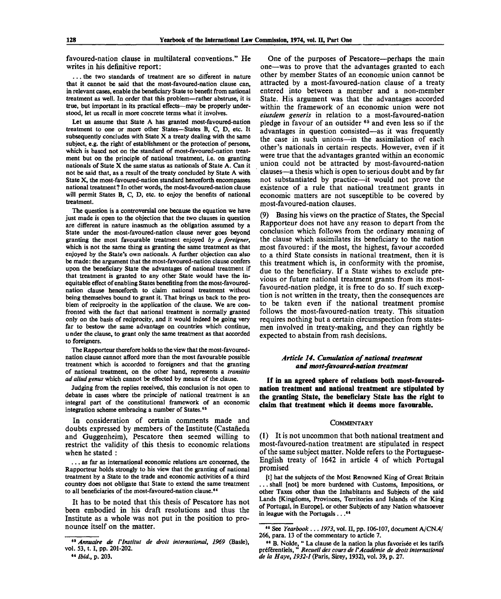favoured-nation clause in multilateral conventions." He writes in his definitive report:

. . . the two standards of treatment are so different in nature that it cannot be said that the most-favoured-nation clause can, in relevant cases, enable the beneficiary State to benefit from national treatment as well. In order that this problem—rather abstruse, it is true, but important in its practical effects—may be properly understood, let us recall in more concrete terms what it involves.

Let us assume that State A has granted most-favoured-nation treatment to one or more other States—States B, C, D, etc. It subsequently concludes with State X a treaty dealing with the same subject, e.g. the right of establishment or the protection of persons, which is based not on the standard of most-favoured-nation treatment but on the principle of national treatment, i.e. on granting nationals of State X the same status as nationals of State A. Can it not be said that, as a result of the treaty concluded by State A with State X, the most-favoured-nation standard henceforth encompasses national treatment? In other words, the most-favoured-nation clause will permit States B, C, D, etc. to enjoy the benefits of national treatment.

The question is a controversial one because the equation we have just made is open to the objection that the two clauses in question are different in nature inasmuch as the obligation assumed by **a** State under the most-favoured-nation clause never goes beyond granting the most favourable treatment enjoyed *by a foreigner,* which is not the same thing as granting the same treatment as that enjoyed by the State's own nationals. A further objection can also be made: the argument that the most-favoured-nation clause confers upon the beneficiary State the advantages of national treatment if that treatment is granted to any other State would have the inequitable effect of enabling States benefiting from the most-favourednation clause henceforth to claim national treatment without being themselves bound to grant it. That brings us back to the problem of reciprocity in the application of the clause. We are confronted with the fact that national treatment is normally granted only on the basis of reciprocity, and it would indeed be going very far to bestow the same advantage on countries which continue, u nder the clause, to grant only the same treatment as that accorded to foreigners.

The Rapporteur therefore holds to the view that the most-favourednation clause cannot afford more than the most favourable possible treatment which is accorded to foreigners and that the granting of national treatment, on the other hand, represents a *transitio ad aliud genus* which cannot be effected by means of the clause.

Judging from the replies received, this conclusion is not open to debate in cases where the principle of national treatment is an integral part of the constitutional framework of an economic integration scheme embracing a number of States.<sup>63</sup>

In consideration of certain comments made and doubts expressed by members of the Institute (Castaneda and Guggenheim), Pescatore then seemed willing to restrict the validity of this thesis to economic relations when he stated :

. . . as far as international economic relations are concerned, the Rapporteur holds strongly to his view that the granting of national treatment by a State to the trade and economic activities of a third country does not obligate that State to extend the same treatment to all beneficiaries of the most-favoured-nation clause.<sup>64</sup>

It has to be noted that this thesis of Pescatore has not been embodied in his draft resolutions and thus the Institute as a whole was not put in the position to pronounce itself on the matter.

One of the purposes of Pescatore—perhaps the main one—was to prove that the advantages granted to each other by member States of an economic union cannot be attracted by a most-favoured-nation clause of a treaty entered into between a member and a non-member State. His argument was that the advantages accorded within the framework of an economic union were not *eiusdem generis* in relation to a most-favoured-nation pledge in favour of an outsider  $65$  and even less so if the advantages in question consisted—as it was frequently the case in such unions—in the assimilation of each other's nationals in certain respects. However, even if it were true that the advantages granted within an economic union could not be attracted by most-favoured-nation clauses—a thesis which is open to serious doubt and by far not substantiated by practice—it would not prove the existence of a rule that national treatment grants in economic matters are not susceptible to be covered by most-favoured-nation clauses.

(9) Basing his views on the practice of States, the Special Rapporteur does not have any reason to depart from the conclusion which follows from the ordinary meaning of the clause which assimilates its beneficiary to the nation most favoured: if the most, the highest, favour accorded to a third State consists in national treatment, then it is this treatment which is, in conformity with the promise, due to the beneficiary. If a State wishes to exclude previous or future national treatment grants from its mostfavoured-nation pledge, it is free to do so. If such exception is not written in the treaty, then the consequences are to be taken even if the national treatment promise follows the most-favoured-nation treaty. This situation requires nothing but a certain circumspection from statesmen involved in treaty-making, and they can rightly be expected to abstain from rash decisions.

## *Article 14. Cumulation of national treatment and most-favoured-nation treatment*

**If in an agreed sphere of relations both most-favourednation treatment and national treatment are stipulated by the granting State, the beneficiary State has the right to claim that treatment which it deems more favourable.**

#### **COMMENTARY**

(1) It is not uncommon that both national treatment and most-favoured-nation treatment are stipulated in respect of the same subject matter. Nolde refers to the Portuguese-English treaty of 1642 in article 4 of which Portugal promised

[t] hat the subjects of the Most Renowned King of Great Britain . . . shall [not] be more burdened with Customs, Impositions, or other Taxes other than the Inhabitants and Subjects of the said Lands [Kingdoms, Provinces, Territories and Islands of the King of Portugal, in Europe], or other Subjects of any Nation whatsoever in league with the Portugals... $66$ 

<sup>83</sup>  *Annuaire de Vlnstitut de droit international, 1969* (Basle), vol. 53, t. I, pp. 201-202.

<sup>•«</sup> *Ibid.,* p. 203.

<sup>85</sup> See *Yearbook* .. . *1973,* vol. II, pp. 106-107, document A/CN.4/ 266, para. 13 of the commentary to article 7.

<sup>&</sup>lt;sup>66</sup> B. Nolde, " La clause de la nation la plus favorisée et les tarifs préférentiels, " *Recueil des cours de l'Académie de droit international de la Haye, 1932-1* (Paris, Sirey, 1932), vol. 39, p. 27.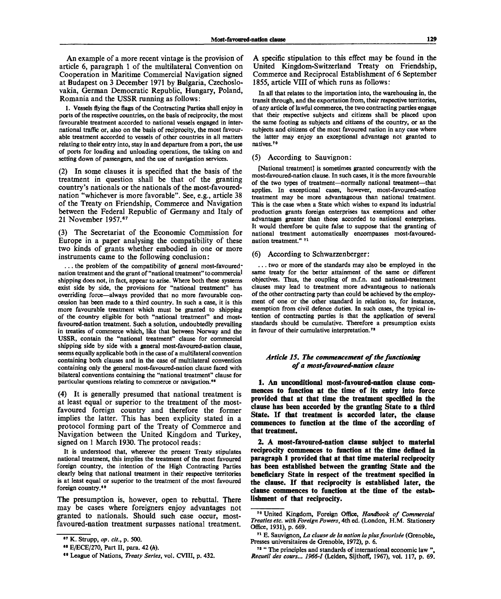An example of a more recent vintage is the provision of article 6, paragraph 1 of the multilateral Convention on Cooperation in Maritime Commercial Navigation signed at Budapest on 3 December 1971 by Bulgaria, Czechoslovakia, German Democratic Republic, Hungary, Poland, Romania and the USSR running as follows:

1. Vessels flying the flags of the Contracting Parties shall enjoy in ports of the respective countries, on the basis of reciprocity, the most favourable treatment accorded to national vessels engaged in international traffic or, also on the basis of reciprocity, the most favourable treatment accorded to vessels of other countries in all matters relating to their entry into, stay in and departure from a port, the use of ports for loading and unloading operations, the taking on and setting down of passengers, and the use of navigation services.

(2) In some clauses it is specified that the basis of the treatment in question shall be that of the granting country's nationals or the nationals of the most-favourednation "whichever is more favorable". See, e.g., article 38 of the Treaty on Friendship, Commerce and Navigation between the Federal Republic of Germany and Italy of 21 November 1957.<sup>67</sup>

(3) The Secretariat of the Economic Commission for Europe in a paper analysing the compatibility of these two kinds of grants whether embodied in one or more instruments came to the following conclusion:

... the problem of the compatibility of general most-favourednation treatment and the grant of "national treatment" to commercial shipping does not, in fact, appear to arise. Where both these systems exist side by side, the provisions for "national treatment" has overriding force—always provided that no more favourable concession has been made to a third country. In such a case, it is this more favourable treatment which must be granted to shipping of the country eligible for both "national treatment" and mostfavoured-nation treatment. Such a solution, undoubtedly prevailing in treaties of commerce which, like that between Norway and the USSR, contain the "national treatment" clause for commercial shipping side by side with a general most-favoured-nation clause, seems equally applicable both in the case of a multilateral convention containing both clauses and in the case of multilateral convention containing only the general most-favoured-nation clause faced with bilateral conventions containing the "national treatment" clause for particular questions relating to commerce or navigation.<sup>68</sup>

(4) It is generally presumed that national treatment is at least equal or superior to the treatment of the mostfavoured foreign country and therefore the former implies the latter. This has been explicity stated in a protocol forming part of the Treaty of Commerce and Navigation between the United Kingdom and Turkey, signed on 1 March 1930. The protocol reads:

It is understood that, wherever the present Treaty stipulates national treatment, this implies the treatment of the most favoured foreign country, the intention of the High Contracting Parties clearly being that national treatment in their respective territories is at least equal or superior to the treatment of the most favoured foreign country.<sup>69</sup>

The presumption is, however, open to rebuttal. There may be cases where foreigners enjoy advantages not granted to nationals. Should such case occur, mostfavoured-nation treatment surpasses national treatment.

A specific stipulation to this effect may be found in the United Kingdom-Switzerland Treaty on Friendship, Commerce and Reciprocal Establishment of 6 September 1855, article VIII of which runs as follows:

In all that relates to the importation into, the warehousing in, the transit through, and the exportation from, their respective territories, of any article of lawful commerce, the two contracting parties engage that their respective subjects and citizens shall be placed upon the same footing as subjects and citizens of the country, or as the subjects and citizens of the most favoured nation in any case where the latter may enjoy an exceptional advantage not granted to natives.<sup>70</sup>

### (5) According to Sauvignon:

[National treatment] is sometimes granted concurrently with the most-favoured-nation clause. In such cases, it is the more favourable of the two types of treatment—normally national treatment—that applies. In exceptional cases, however, most-favoured-nation treatment may be more advantageous than national treatment. This is the case when a State which wishes to expand its industrial production grants foreign enterprises tax exemptions and other advantages greater than those accorded to national enterprises. It would therefore be quite false to suppose that the granting of national treatment automatically encompasses most-favourednation treatment." <sup>71</sup>

## (6) According to Schwarzenberger:

. . . two or more of the standards may also be employed in the same treaty for the better attainment of the same or different objectives. Thus, the coupling of m.f.n. and national-treatment clauses may lead to treatment more advantageous to nationals of the other contracting party than could be achieved by the employment of one or the other standard in relation to, for instance, exemption from civil defence duties. In such cases, the typical intention of contracting parties is that the application of several standards should be cumulative. Therefore a presumption exists in favour of their cumulative interpretation.<sup>72</sup>

## *Article 15. The commencement of the functioning of a most-favoured-nation clause*

**1. An unconditional most-favoured-nation clause commences to function at the time of its entry into force provided that at that time the treatment specified in the clause has been accorded by the granting State to a third State. If that treatment is accorded later, the clause commences to function at the time of the according of that treatment.**

**2. A most-favoured-nation clause subject to material reciprocity commences to function at the time defined in paragraph 1 provided that at that time material reciprocity has been established between the granting State and the beneficiary State in respect of the treatment specified in the clause. If that reciprocity is established later, the clause commences to function at the time of the establishment of that reciprocity.**

<sup>87</sup> K. Strupp, *op. cit.,* p. 500.

<sup>••</sup> E/ECE/270, Part II, para. 42 *(h).*

<sup>«•</sup> League of Nations, *Treaty Series,* vol. CVIII, p. 432.

<sup>70</sup> United Kingdom, Foreign Office, *Handbook of Commercial Treaties etc. with Foreign Powers,* 4th ed. (London, H.M. Stationery Office, 1931), p. 669.

<sup>&</sup>lt;sup>71</sup> E. Sauvignon, La clause de la nation la plus favorisée (Grenoble, Presses universitaires de Grenoble, 1972), p. 6.

<sup>&</sup>lt;sup>72</sup> " The principles and standards of international economic law ", *Recueil des cours... 1966-1* (Leiden, Sijthoff, 1967), vol. 117, p. 69.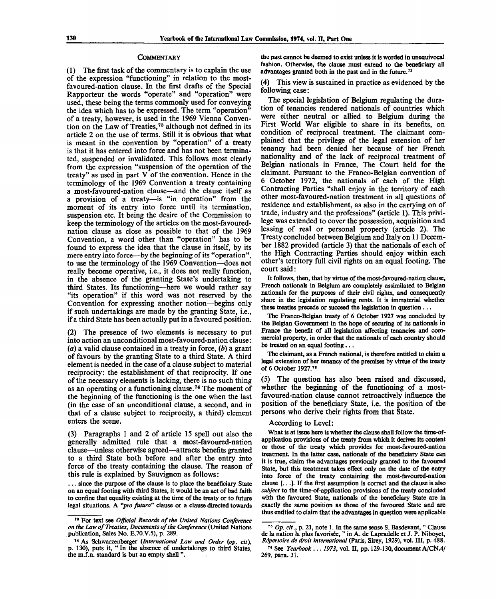#### **COMMENTARY**

(1) The first task of the commentary is to explain the use of the expression "functioning" in relation to the mostfavoured-nation clause. In the first drafts of the Special Rapporteur the words "operate" and "operation" were used, these being the terms commonly used for conveying the idea which has to be expressed. The term "operation" of a treaty, however, is used in the 1969 Vienna Convention on the Law of Treaties,<sup>73</sup> although not defined in its article 2 on the use of terms. Still it is obvious that what is meant in the convention by "operation" of a treaty is that it has entered into force and has not been terminated, suspended or invalidated. This follows most clearly from the expression "suspension of the operation of the treaty" as used in part V of the convention. Hence in the terminology of the 1969 Convention a treaty containing a most-favoured-nation clause—and the clause itself as a provision of a treaty—is "in operation" from the moment of its entry into force until its termination, suspension etc. It being the desire of the Commission to keep the terminology of the articles on the most-favourednation clause as close as possible to that of the 1969 Convention, a word other than "operation" has to be found to express the idea that the clause in itself, by its mere entry into force—by the beginning of its "operation", to use the terminology of the 1969 Convention—does not really become operative, i.e., it does not really function, in the absence of the granting State's undertaking to third States. Its functioning—here we would rather say "its operation" if this word was not reserved by the Convention for expressing another notion—begins only if such undertakings are made by the granting State, i.e., if a third State has been actually put in a favoured position.

(2) The presence of two elements is necessary to put into action an unconditional most-favoured-nation clause: (a) a valid clause contained in a treaty in force, *(b)* a grant of favours by the granting State to a third State. A third element is needed in the case of a clause subject to material reciprocity: the establishment of that reciprocity. If one of the necessary elements is lacking, there is no such thing as an operating or a functioning clause.<sup>74</sup> The moment of the beginning of the functioning is the one when the last (in the case of an unconditional clause, a second, and in that of a clause subject to reciprocity, a third) element enters the scene.

(3) Paragraphs 1 and 2 of article 15 spell out also the generally admitted rule that a most-favoured-nation clause—unless otherwise agreed—attracts benefits granted to a third State both before and after the entry into force of the treaty containing the clause. The reason of this rule is explained by Sauvignon as follows:

... since the purpose of the clause is to place the beneficiary State on an equal footing with third States, it would be an act of bad faith to confine that equality existing at the time of the treaty or to future legal situations. A *"pro futuro"* clause or a clause directed towards the past cannot be deemed to exist unless it is worded in unequivocal fashion. Otherwise, the clause must extend to the beneficiary all advantages granted both in the past and in the future.<sup>75</sup>

(4) This view is sustained in practice as evidenced by the following case:

The special legislation of Belgium regulating the duration of tenancies rendered nationals of countries which were either neutral or allied to Belgium during the First World War eligible to share in its benefits, on condition of reciprocal treatment. The claimant complained that the privilege of the legal extension of her tenancy had been denied her because of her French nationality and of the lack of reciprocal treatment of Belgian nationals in France, The Court held for the claimant. Pursuant to the Franco-Belgian convention of 6 October 1972, the nationals of each of the High Contracting Parties "shall enjoy in the territory of each other most-favoured-nation treatment in all questions of residence and establishment, as also in the carrying on of trade, industry and the professions" (article 1). This privilege was extended to cover the possession, acquisition and leasing of real or personal property (article 2). The Treaty concluded between Belgium and Italy on 11 December 1882 provided (article 3) that the nationals of each of the High Contracting Parties should enjoy within each other's territory full civil rights on an equal footing. The court said:

It follows, then, that by virtue of the most-favoured-nation clause, French nationals in Belgium are completely assimilated to Belgian nationals for the purposes of their civil rights, and consequently share in the legislation regulating rents. It is immaterial whether these treaties precede or succeed the legislation in question .. .

The Franco-Belgian treaty of 6 October 1927 was concluded by the Belgian Government in the hope of securing of its nationals in France the benefit of all legislation affecting tenancies and commercial property, in order that the nationals of each country should be treated on an equal footing...

The claimant, as a French national, is therefore entitled to claim a legal extension of her tenancy of the premises by virtue of the treaty of 6 October 1927."

(5) The question has also been raised and discussed, whether the beginning of the functioning of a mostfavoured-nation clause cannot retroactively influence the position of the beneficiary State, i.e. the position of the persons who derive their rights from that State.

#### According to Level:

What is at issue here is whether the clause shall follow the time-ofapplication provisions of the treaty from which it derives its content or those of the treaty which provides for most-favoured-nation treatment. In the latter case, nationals of the beneficiary State can it is true, claim the advantages previously granted to the favoured State, but this treatment takes effect only on the date of the entry into force of the treaty containing the most-favoured-nation clause [...]. If the first assumption is correct and the clause is also *subject* to the time-of-application provisions of the treaty concluded with the favoured State, nationals of the beneficiary State are in exactly the same position as those of the favoured State and are thus entitled to claim that the advantages in question were applicable

<sup>78</sup> For text see *Official Records of the United Nations Conference on the Law of Treaties, Documents of the Conference* (United Nations publication, Sales No. E.70.V.5), p. 289.

<sup>74</sup> As Schwarzenberger *{International Law and Order {op. cit),* p. 130), puts it, " In the absence of undertakings to third States, the m.f.n. standard is but an empty shell".

<sup>&</sup>lt;sup>75</sup> Op. cit., p. 21, note 1. In the same sense S. Basdevant, "Clause de la nation la plus favorisée, " in A. de Lapradelle et J. P. Niboyet, *Ripertoire de droit international* (Paris, Sirey, 1929), vol. Ill, p. 488.

<sup>76</sup> See *Yearbook ..*. *1973,* vol. II, pp. 129-130, document A/CN.4/ 269, para. 31.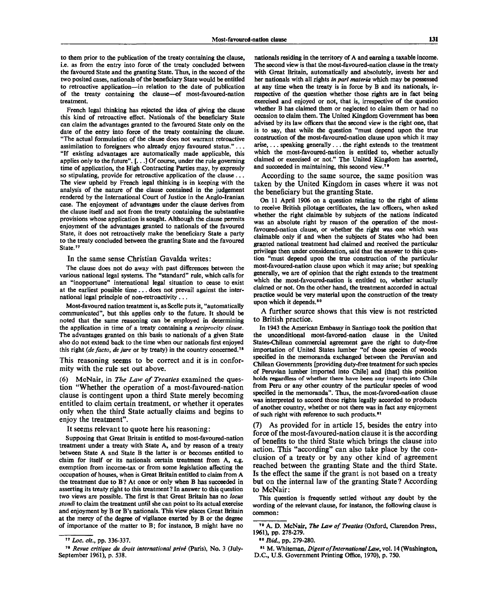to them prior to the publication of the treaty containing the clause, i.e. as from the entry into force of the treaty concluded between the favoured State and the granting State. Thus, in the second of the two posited cases, nationals of the beneficiary State would be entitled to retroactive application—in relation to the date of publication of the treaty containing the clause—of most-favoured-nation treatment.

French legal thinking has rejected the idea of giving the clause this kind of retroactive effect. Nationals of the beneficiary State can claim the advantages granted to the favoured State only on the date of the entry into force of the treaty containing the clause. "The actual formulation of the clause does not warrant retroactive assimilation to foreigners who already enjoy favoured status." .. . "If existing advantages are automatically made applicable, this applies only to the future". [...] Of course, under the rule governing time of application, the High Contracting Parties may, by expressly so stipulating, provide for retroactive application of the clause .. . The view upheld by French legal thinking is in keeping with the analysis of the nature of the clause contained in the judgement rendered by the International Court of Justice in the Anglo-Iranian case. The enjoyment of advantages under the clause derives from the clause itself and not from the treaty containing the substantive provisions whose application is sought. Although the clause permits enjoyment of the advantages granted to nationals of the favoured State, it does not retroactively make the beneficiary State a party to the treaty concluded between the granting State and the favoured State.<sup>77</sup>

#### In the same sense Christian Gavalda writes:

The clause does not do away with past differences between the various national legal systems. The "standard" rule, which calls for an "inopportune" international legal situation to cease to exist at the earliest possible time .. . does not prevail against the international legal principle of non-retroactivity .. .

Most-favoured nation treatment is, as Scelle puts it, "automatically communicated", but this applies only to the future. It should be noted that the same reasoning can be employed in determining the application in time of a treaty containing a *reciprocity clause.* The advantages granted on this basis to nationals of a given State also do not extend back to the time when our nationals first enjoyed this right *(de facto, de jure* or by treaty) in the country concerned.<sup>78</sup>

This reasoning seems to be correct and it is in conformity with the rule set out above.

(6) McNair, in *The Law of Treaties* examined the question "Whether the operation of a most-favoured-nation clause is contingent upon a third State merely becoming entitled to claim certain treatment, or whether it operates only when the third State actually claims and begins to enjoy the treatment".

It seems relevant to quote here his reasoning:

Supposing that Great Britain is entitled to most-favoured-nation treatment under a treaty with State A, and by reason of a treaty between State A and State B the latter is or becomes entitled to claim for itself or its nationals certain treatment from A, e.g. exemption from income-tax or from some legislation affecting the occupation of houses, when is Great Britain entitled to claim from A the treatment due to B? At once or only when B has succeeded in asserting its treaty right to this treatment? In answer to this question two views are possible. The first is that Great Britain has no *locus standi* to claim the treatment until she can point to its actual exercise and enjoyment by B or B's nationals. This view places Great Britain at the mercy of the degree of vigilance exerted by B or the degree of importance of the matter to B; for instance, B might have no

nationals residing in the territory of A and earning a taxable income. The second view is that the most-favoured-nation clause in the treaty with Great Britain, automatically and absolutely, invests her and her nationals with all rights *in pari materia* which may be possessed at any time when the treaty is in force by B and its nationals, irrespective of the question whether those rights are in fact being exercised and enjoyed or not, that is, irrespective of the question whether B has claimed them or neglected to claim them or had no occasion to claim them. The United Kingdom Government has been advised by its law officers that the second view is the right one, that is to say, that while the question "must depend upon the true construction of the most-favoured-nation clause upon which it may arise,... speaking generally... the right extends to the treatment which the most-favoured-nation is entitled to, whether actually claimed or exercised or not." The United Kingdom has asserted, and succeeded in maintaining, this second view.<sup>79</sup>

According to the same source, the same position was taken by the United Kingdom in cases where it was not the beneficiary but the granting State.

On 11 April 1906 on a question relating to the right of aliens to receive British pilotage certificates, the law officers, when asked whether the right claimable by subjects of the nations indicated was an absolute right by reason of the operation of the mostfavoured-nation clause, or whether the right was one which was claimable only if and when the subjects of States who had been granted national treatment had claimed and received the particular privilege then under consideration, said that the answer to this question "must depend upon the true construction of the particular most-favoured-nation clause upon which it may arise; but speaking generally, we are of opinion that the right extends to the treatment which the most-favoured-nation is entitled to, whether actually claimed or not. On the other hand, the treatment accorded in actual practice would be very material upon the construction of the treaty upon which it depends.<sup>80</sup>

A further source shows that this view is not restricted to British practice.

In 1943 the American Embassy in Santiago took the position that the unconditional most-favored-nation clause in the United States-Chilean commercial agreement gave the right to duty-free importation of United States lumber "of those species of woods specified in the memoranda exchanged between the Peruvian and Chilean Governments [providing duty-free treatment for such species of Peruvian lumber imported into Chile] and [that] this position holds regardless of whether there have been any imports into Chile from Peru or any other country of the particular species of wood specified in the memoranda". Thus, the most-favored-nation clause was interpreted to accord those rights legally accorded to products of another country, whether or not there was in fact any enjoyment of such right with reference to such products.<sup>81</sup>

(7) As provided for in article 15, besides the entry into force of the most-favoured-nation clause it is the according of benefits to the third State which brings the clause into action. This "according" can also take place by the conclusion of a treaty or by any other kind of agreement reached between the granting State and the third State. Is the effect the same if the grant is not based on a treaty but on the internal law of the granting State ? According to McNair:

This question is frequently settled without any doubt by the wording of the relevant clause, for instance, the following clause is common:

81 M. Whiteman, *Digest of International Law,* vol. 14 (Washington, D.C., U.S. Government Printing Office, 1970), p. 750.

<sup>&</sup>lt;sup>77</sup> Loc. cit., pp. 336-337.

<sup>&</sup>lt;sup>78</sup> Revue critique du droit international privé (Paris), No. 3 (July-September 1961), p. 538.

<sup>79</sup> A. D. McNair, *The Law of Treaties* (Oxford, Clarendon Press, 1961), pp. 278-279.

<sup>&</sup>lt;sup>80</sup> *Ibid.*, pp. 279-280.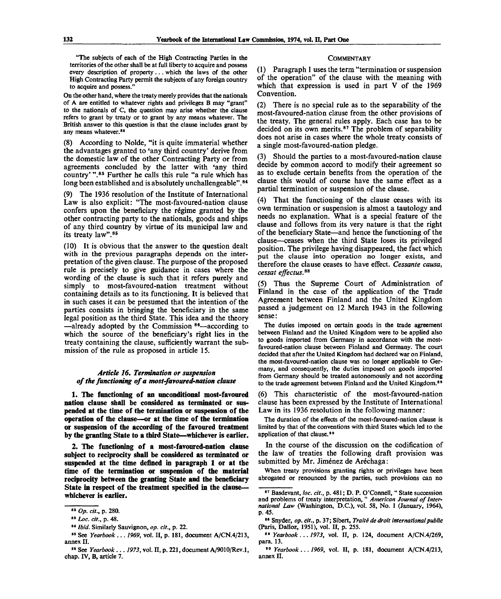"The subjects of each of the High Contracting Parties in the territories of the other shall be at full liberty to acquire and possess every description of property .. . which the laws of the other High Contracting Party permit the subjects of any foreign country to acquire and possess."

On the other hand, where the treaty merely provides that the nationals of A are entitled to whatever rights and privileges B may "grant" to the nationals of C, the question may arise whether the clause refers to grant by treaty or to grant by any means whatever. The British answer to this question is that the clause includes grant by any means whatever.<sup>82</sup>

(8) According to Nolde, "it is quite immaterial whether the advantages granted to 'any third country' derive from the domestic law of the other Contracting Party or from agreements concluded by the latter with 'any third country'".<sup>83</sup> Further he calls this rule "a rule which has long been established and is absolutely unchallengeable".<sup>84</sup>

(9) The 1936 resolution of the Institute of International Law is also explicit: "The most-favoured-nation clause confers upon the beneficiary the regime granted by the other contracting party to the nationals, goods and ships of any third country by virtue of its municipal law and its treaty law".<sup>85</sup>

(10) It is obvious that the answer to the question dealt with in the previous paragraphs depends on the interpretation of the given clause. The purpose of the proposed rule is precisely to give guidance in cases where the wording of the clause is such that it refers purely and simply to most-favoured-nation treatment without containing details as to its functioning. It is believed that in such cases it can be presumed that the intention of the parties consists in bringing the beneficiary in the same legal position as the third State. This idea and the theory -already adopted by the Commission 86-according to which the source of the beneficiary's right lies in the treaty containing the clause, sufficiently warrant the submission of the rule as proposed in article 15.

## *Article 16. Termination or suspension of the functioning of a most-favoured-nation clause*

**1. The functioning of an unconditional most-favoured nation clause shall be considered as terminated or suspended at the time of the termination or suspension of the operation of the clause—or at the time of the termination or suspension of the according of the favoured treatment by the granting State to a third State—whichever is earlier.**

**2. The functioning of a most-favoured-nation clause subject to reciprocity shall be considered as terminated or suspended at the time defined in paragraph 1 or at the time of the termination or suspension of the material reciprocity between the granting State and the beneficiary State in respect of the treatment specified in the clause whichever is earlier.**

### **COMMENTARY**

(1) Paragraph 1 uses the term "termination or suspension of the operation" of the clause with the meaning with which that expression is used in part V of the 1969 Convention.

(2) There is no special rule as to the separability of the most-favoured-nation clause from the other provisions of the treaty. The general rules apply. Each case has to be decided on its own merits.<sup>87</sup> The problem of separability does not arise in cases where the whole treaty consists of a single most-favoured-nation pledge.

(3) Should the parties to a most-favoured-nation clause decide by common accord to modify their agreement so as to exclude certain benefits from the operation of the clause this would of course have the same effect as a partial termination or suspension of the clause.

(4) That the functioning of the clause ceases with its own termination or suspension is almost a tautology and needs no explanation. What is a special feature of the clause and follows from its very nature is that the right of the beneficiary State—and hence the functioning of the clause—ceases when the third State loses its privileged position. The privilege having disappeared, the fact which put the clause into operation no longer exists, and therefore the clause ceases to have effect. *Cessante causa, cessat effectus.ss*

(5) Thus the Supreme Court of Administration of Finland in the case of the application of the Trade Agreement between Finland and the United Kingdom passed a judgement on 12 March 1943 in the following sense:

The duties imposed on certain goods in the trade agreement between Finland and the United Kingdom were to be applied also to goods imported from Germany in accordance with the mostfavoured-nation clause between Finland and Germany. The court decided that after the United Kingdom had declared war on Finland, the most-favoured-nation clause was no longer applicable to Germany, and consequently, the duties imposed on goods imported from Germany should be treated autonomously and not according to the trade agreement between Finland and the United Kingdom.<sup>81</sup>

(6) This characteristic of the most-favoured-nation clause has been expressed by the Institute of International Law in its 1936 resolution in the following manner:

The duration of the effects of the most-favoured-nation clause is limited by that of the conventions with third States which led to the application of that clause.<sup>90</sup>

In the course of the discussion on the codification of the law of treaties the following draft provision was submitted by Mr. Jiménez de Aréchaga:

When treaty provisions granting rights or privileges have been abrogated or renounced by the parties, such provisions can no

<sup>82</sup>  *Op. cit.,* **p.** 280.

<sup>83</sup>  *hoc. cit.,* p. 48.

<sup>84</sup>  *Ibid.* Similarly Sauvignon, *op. cit.,* p. 22.

<sup>&</sup>lt;sup>85</sup> See *Yearbook* . . . 1969, vol. II, p. 181, document A/CN.4/213, annex II.

<sup>86</sup> See *Yearbook ... 1973,* vol. II, p. 221, document A/9010/Rev.l, chap. IV, B, article 7.

<sup>&</sup>lt;sup>87</sup> Basdevant, loc. cit., p. 481; D. P. O'Connell, " State succession and problems of treaty interpretation, " *American Journal of International Law* (Washington, D.C.), vol. 58, No . 1 (January, 1964), p. 45.

<sup>88</sup> Snyder, op. cit., p. 37; Sibert, Traité de droit international public (Paris, Dalloz, 1951), vol. II, p. 255.

<sup>89</sup>  *Yearbook... 1973,* vol. II, p. 124, document A/CN.4/269, para. 13.

<sup>90</sup>  *Yearbook... 1969,* vol. II, p. 181, document A/CN.4/213, annex II.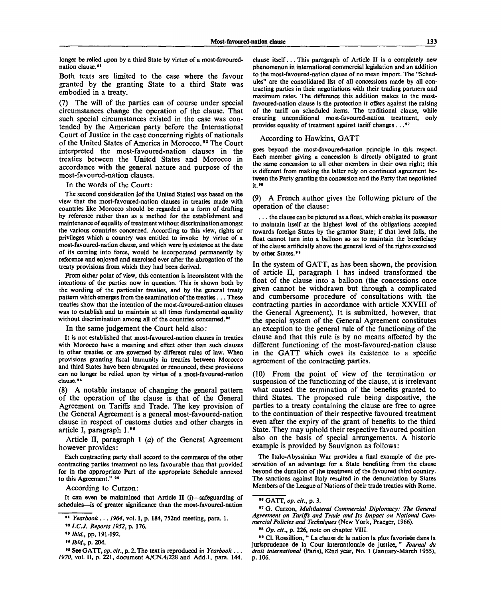longer be relied upon by a third State by virtue of a most-favourednation clause.<sup>91</sup>

Both texts are limited to the case where the favour granted by the granting State to a third State was embodied in a treaty.

The will of the parties can of course under special circumstances change the operation of the clause. That such special circumstances existed in the case was contended by the American party before the International Court of Justice in the case concerning rights of nationals of the United States of America in Morocco.<sup>92</sup> The Court interpreted the most-favoured-nation clauses in the treaties between the United States and Morocco in accordance with the general nature and purpose of the most-favoured-nation clauses.

#### In the words of the Court:

The second consideration [of the United States] was based on the view that the most-favoured-nation clauses in treaties made with countries like Morocco should be regarded as a form of drafting by reference rather than as a method for the establishment and maintenance of equality of treatment without discrimination amongst the various countries concerned. According to this view, rights or privileges which a country was entitled to invoke by virtue of a most-favoured-nation clause, and which were in existence at the date of its coming into force, would be incorporated permanently by reference and enjoyed and exercised ever after the abrogation of the treaty provisions from which they had been derived.

From either point of view, this contention is inconsistent with the intentions of the parties now in question. This is shown both by the wording of the particular treaties, and by the general treaty pattern which emerges from the examination of the treaties .. . These treaties show that the intention of the most-favoured-nation clauses was to establish and to maintain at all times fundamental equality without discrimination among all of the countries concerned.<sup>93</sup>

In the same judgement the Court held also:

It is not established that most-favoured-nation clauses in treaties with Morocco have a meaning and effect other than such clauses in other treaties or are governed by different rules of law. When provisions granting fiscal immunity in treaties between Morocco and third States have been abrogated or renounced, these provisions can no longer be relied upon by virtue of a most-favoured-nation clause.<sup>94</sup>

(8) A notable instance of changing the general pattern of the operation of the clause is that of the General Agreement on Tariffs and Trade. The key provision of the General Agreement is a general most-favoured-nation clause in respect of customs duties and other charges in article I, paragraph I.<sup>96</sup>

Article II, paragraph 1 *(a)* of the General Agreement however provides:

Each contracting party shall accord to the commerce of the other contracting parties treatment no less favourable than that provided for in the appropriate Part of the appropriate Schedule annexed to this Agreement." <sup>96</sup>

According to Curzon:

It can even be maintained that Article II (i)—safeguarding of schedules—is of greater significance than the most-favoured-nation

<sup>94</sup>*1.C.J. Reports 1952,* p. 176.

clause itself... This paragraph of Article II is a completely new phenomenon in international commercial legislation and an addition to the most-favoured-nation clause of no mean import. The "Schedules" are the consolidated list of all concessions made by all contracting parties in their negotiations with their trading partners and maximum rates. The difference this addition makes to the mostfavoured-nation clause is the protection it offers against the raising of the tariff on scheduled items. The traditional clause, while ensuring unconditional most-favoured-nation treatment, only provides equality of treatment against tariff changes .. . \*<sup>7</sup>

#### According to Hawkins, GATT

goes beyond the most-favoured-nation principle in this respect. Each member giving a concession is directly obligated to grant the same concession to all other members in their own right; this is different from making the latter rely on continued agreement between the Party granting the concession and the Party that negotiated it.<sup>98</sup>

(9) A French author gives the following picture of the operation of the clause:

. . . the clause can be pictured as a float, which enables its possessor to maintain itself at the highest level of the obligations accepted towards foreign States by the grantor State; if that level falls, the float cannot turn into a balloon so as to maintain the beneficiary of the clause artificially above the general level of the rights exercised by other States.<sup>99</sup>

In the system of GATT, as has been shown, the provision of article II, paragraph 1 has indeed transformed the float of the clause into a balloon (the concessions once given cannot be withdrawn but through a complicated and cumbersome procedure of consultations with the contracting parties in accordance with article XXVIII of the General Agreement). It is submitted, however, that the special system of the General Agreement constitutes an exception to the general rule of the functioning of the clause and that this rule is by no means affected by the different functioning of the most-favoured-nation clause in the GATT which owes its existence to a specific agreement of the contracting parties.

(10) From the point of view of the termination or suspension of the functioning of the clause, it is irrelevant what caused the termination of the benefits granted to third States. The proposed rule being dispositive, the parties to a treaty containing the clause are free to agree to the continuation of their respective favoured treatment even after the expiry of the grant of benefits to the third State. They may uphold their respective favoured position also on the basis of special arrangements. A historic example is provided by Sauvignon as follows:

The Italo-Abyssinian War provides a final example of the preservation of an advantage for a State benefiting from the clause beyond the duration of the treatment of the favoured third country. The sanctions against Italy resulted in the denunciation by States Members of the League of Nations of their trade treaties with Rome.

97 G. Curzon, *Multilateral Commercial Diplomacy: The General Agreement on Tariffs and Trade and Its Impact on National Commercial Policies and Techniques* (New York , Praeger, 1966).

<sup>91</sup>  *Yearbook .*.. *1964,* vol. I, p. 184, 752nd meeting, para. 1.

<sup>&</sup>lt;sup>98</sup> Ibid., pp. 191-192.

<sup>&</sup>lt;sup>94</sup> *Ibid.*, p. 204.

<sup>&</sup>lt;sup>85</sup> See GATT, op. cit., p. 2. The text is reproduced in *Yearbook* ... 1970, vol. II, p. 221, document A/CN.4/228 and Add.1, para. 144.

<sup>98</sup> GATT , *op. cit.,* p. 3.

<sup>98</sup>  *Op. cit.,* p. 226, note on chapter VIII.

<sup>&</sup>lt;sup>99</sup> Cl. Rossillion, " La clause de la nation la plus favorisée dans la jurisprudence de la Cour internationale de justice, " *Journal du droit international* (Paris), 82nd year, No. 1 (January-March 1955), p. 106.